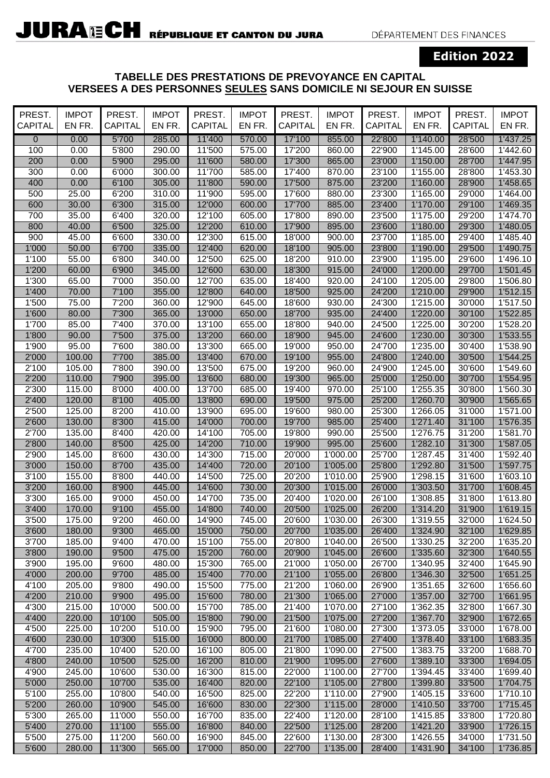## **Edition 2022**

## **TABELLE DES PRESTATIONS DE PREVOYANCE EN CAPITAL VERSEES A DES PERSONNES SEULES SANS DOMICILE NI SEJOUR EN SUISSE**

| PREST.<br><b>CAPITAL</b> | <b>IMPOT</b><br>EN FR. | PREST.<br>CAPITAL | <b>IMPOT</b><br>EN FR. | PREST.<br><b>CAPITAL</b> | <b>IMPOT</b><br>EN FR. | PREST.<br>CAPITAL | <b>IMPOT</b><br>EN FR. | PREST.<br>CAPITAL | <b>IMPOT</b><br>EN FR. | PREST.<br>CAPITAL | <b>IMPOT</b><br>EN FR. |
|--------------------------|------------------------|-------------------|------------------------|--------------------------|------------------------|-------------------|------------------------|-------------------|------------------------|-------------------|------------------------|
| $\overline{0}$           | 0.00                   | 5'700             | 285.00                 | 11'400                   | 570.00                 | 17'100            | 855.00                 | 22'800            | 1'140.00               | 28'500            | 1'437.25               |
| 100                      | 0.00                   | 5'800             | 290.00                 | 11'500                   | 575.00                 | 17'200            | 860.00                 | 22'900            | 1'145.00               | 28'600            | 1'442.60               |
| 200                      | 0.00                   | 5'900             | 295.00                 | 11'600                   | 580.00                 | 17'300            | 865.00                 | 23'000            | 1'150.00               | 28'700            | 1'447.95               |
| 300                      | 0.00                   | 6'000             | 300.00                 | 11'700                   | 585.00                 | 17'400            | 870.00                 | 23'100            | 1'155.00               | 28'800            | 1'453.30               |
| 400                      | 0.00                   | 6'100             | 305.00                 | 11'800                   | 590.00                 | 17'500            | 875.00                 | 23'200            | 1'160.00               | 28'900            | 1'458.65               |
| 500                      | 25.00                  | 6'200             | 310.00                 | 11'900                   | 595.00                 | 17'600            | 880.00                 | 23'300            | 1'165.00               | 29'000            | 1'464.00               |
| 600                      | 30.00                  | 6'300             | 315.00                 | 12'000                   | 600.00                 | 17'700            | 885.00                 | 23'400            | 1'170.00               | 29'100            | 1'469.35               |
| 700                      | 35.00                  | 6'400             | 320.00                 | 12'100                   | 605.00                 | 17'800            | 890.00                 | 23'500            | 1'175.00               | 29'200            | 1'474.70               |
| 800                      | 40.00                  | 6'500             | 325.00                 | 12'200                   | 610.00                 | 17'900            | 895.00                 | 23'600            | 1'180.00               | 29'300            | 1'480.05               |
| 900                      | 45.00                  | 6'600             | 330.00                 | 12'300                   | 615.00                 | 18'000            | 900.00                 | 23'700            | 1'185.00               | 29'400            | 1'485.40               |
| 1'000                    | 50.00                  | 6'700             | 335.00                 | 12'400                   | 620.00                 | 18'100            | 905.00                 | 23'800            | 1'190.00               | 29'500            | 1'490.75               |
| 1'100                    | 55.00                  | 6'800             | 340.00                 | 12'500                   | 625.00                 | 18'200            | 910.00                 | 23'900            | 1'195.00               | 29'600            | 1'496.10               |
| 1'200                    | 60.00                  | 6'900             | 345.00                 | 12'600                   | 630.00                 | 18'300            | 915.00                 | 24'000            | 1'200.00               | 29'700            | 1'501.45               |
| 1'300                    | 65.00                  | 7'000             | 350.00                 | 12'700                   | 635.00                 | 18'400            | 920.00                 | 24'100            | 1'205.00               | 29'800            | 1'506.80               |
| 1'400                    | 70.00                  | 7'100             | 355.00                 | 12'800                   | 640.00                 | 18'500            | 925.00                 | 24'200            | 1'210.00               | 29'900            | 1'512.15               |
| 1'500                    | 75.00                  | 7'200             | 360.00                 | 12'900                   | 645.00                 | 18'600            | 930.00                 | 24'300            | 1'215.00               | 30'000            | 1'517.50               |
| 1'600                    | 80.00                  | 7'300             | 365.00                 | 13'000                   | 650.00                 | 18'700            | 935.00                 | 24'400            | 1'220.00               | 30'100            | 1'522.85               |
| 1'700                    | 85.00                  | 7'400             | 370.00                 | 13'100                   | 655.00                 | 18'800            | 940.00                 | 24'500            | 1'225.00               | 30'200            | 1'528.20               |
| 1'800                    | 90.00                  | 7'500             | 375.00                 | 13'200                   | 660.00                 | 18'900            | 945.00                 | 24'600            | 1'230.00               | 30'300            | 1'533.55               |
| 1'900                    | 95.00                  | 7'600             | 380.00                 | 13'300                   | 665.00                 | 19'000            | 950.00                 | 24'700            | 1'235.00               | 30'400            | 1'538.90               |
| 2'000                    | 100.00                 | 7'700             | 385.00                 | 13'400                   | 670.00                 | 19'100            | 955.00                 | 24'800            | 1'240.00               | 30'500            | 1'544.25               |
| 2'100                    | 105.00                 | 7'800             | 390.00                 | 13'500                   | 675.00                 | 19'200            | 960.00                 | 24'900            | 1'245.00               | 30'600            | 1'549.60               |
| 2'200                    | 110.00                 | 7'900             | 395.00                 | 13'600                   | 680.00                 | 19'300            | 965.00                 | 25'000            | 1'250.00               | 30'700            | 1'554.95               |
| 2'300                    | 115.00                 | 8'000             | 400.00                 | 13'700                   | 685.00                 | 19'400            | 970.00                 | 25'100            | 1'255.35               | 30'800            | 1'560.30               |
| 2'400                    | 120.00                 | 8'100             | 405.00                 | 13'800                   | 690.00                 | 19'500            | 975.00                 | 25'200            | 1'260.70               | 30'900            | 1'565.65               |
| 2'500                    | 125.00                 | 8'200             | 410.00                 | 13'900                   | 695.00                 | 19'600            | 980.00                 | 25'300            | 1'266.05               | 31'000            | 1'571.00               |
| 2'600                    | 130.00                 | 8'300             | 415.00                 | 14'000                   | 700.00                 | 19'700            | 985.00                 | 25'400            | 1'271.40               | 31'100            | 1'576.35               |
| 2'700                    | 135.00                 | 8'400             | 420.00                 | 14'100                   | 705.00                 | 19'800            | 990.00                 | 25'500            | 1'276.75               | 31'200            | 1'581.70               |
| 2'800                    | 140.00                 | 8'500             | 425.00                 | 14'200                   | 710.00                 | 19'900            | 995.00                 | 25'600            | 1'282.10               | 31'300            | 1'587.05               |
| 2'900                    | 145.00                 | 8'600             | 430.00                 | 14'300                   | 715.00                 | 20'000            | 1'000.00               | 25'700            | 1'287.45               | 31'400            | 1'592.40               |
| 3'000                    | 150.00                 | 8'700             | 435.00                 | 14'400                   | 720.00                 | 20'100            | 1'005.00               | 25'800            | 1'292.80               | 31'500            | 1'597.75               |
| 3'100                    | 155.00                 | 8'800             | 440.00                 | 14'500                   | 725.00                 | 20'200            | 1'010.00               | 25'900            | 1'298.15               | 31'600            | 1'603.10               |
| 3'200                    | 160.00                 | 8'900             | 445.00                 | 14'600                   | 730.00                 | 20'300            | 1'015.00               | 26'000            | 1'303.50               | 31'700            | 1'608.45               |
| 3'300                    | 165.00                 | 9'000             | 450.00                 | 14'700                   | 735.00                 | 20'400            | 1'020.00               | 26'100            | 1'308.85               | 31'800            | 1'613.80               |
| 3'400                    | 170.00                 | 9'100             | 455.00                 | 14'800                   | 740.00                 | 20'500            | 1'025.00               | 26'200            | 1'314.20               | 31'900            | 1'619.15               |
| 3'500                    | 175.00                 | 9'200             | 460.00                 | 14'900                   | 745.00                 | 20'600            | 1'030.00               | 26'300            | 1'319.55               | 32'000            | 1'624.50               |
| 3'600                    | 180.00                 | 9'300             | 465.00                 | 15'000                   | 750.00                 | 20'700            | 1'035.00               | 26'400            | 1'324.90               | 32'100            | 1'629.85               |
| 3'700<br>3'800           | 185.00                 | 9'400<br>9'500    | 470.00<br>475.00       | 15'100<br>15'200         | 755.00                 | 20'800<br>20'900  | 1'040.00<br>1'045.00   | 26'500            | 1'330.25<br>1'335.60   | 32'200<br>32'300  | 1'635.20               |
| 3'900                    | 190.00<br>195.00       | 9'600             | 480.00                 | 15'300                   | 760.00<br>765.00       | 21'000            | 1'050.00               | 26'600<br>26'700  | 1'340.95               | 32'400            | 1'640.55<br>1'645.90   |
| 4'000                    | 200.00                 | 9'700             | 485.00                 | 15'400                   | 770.00                 | 21'100            | 1'055.00               | 26'800            | 1'346.30               | 32'500            | 1'651.25               |
| 4'100                    | 205.00                 | 9'800             | 490.00                 | 15'500                   | 775.00                 | 21'200            | 1'060.00               | 26'900            | 1'351.65               | 32'600            | 1'656.60               |
| 4'200                    | 210.00                 | 9'900             | 495.00                 | 15'600                   | 780.00                 | 21'300            | 1'065.00               | 27'000            | 1'357.00               | 32'700            | 1'661.95               |
| 4'300                    | 215.00                 | 10'000            | 500.00                 | 15'700                   | 785.00                 | 21'400            | 1'070.00               | 27'100            | 1'362.35               | 32'800            | 1'667.30               |
| 4'400                    | 220.00                 | 10'100            | 505.00                 | 15'800                   | 790.00                 | 21'500            | 1'075.00               | 27'200            | 1'367.70               | 32'900            | 1'672.65               |
| 4'500                    | 225.00                 | 10'200            | 510.00                 | 15'900                   | 795.00                 | 21'600            | 1'080.00               | 27'300            | 1'373.05               | 33'000            | 1'678.00               |
| 4'600                    | 230.00                 | 10'300            | 515.00                 | 16'000                   | 800.00                 | 21'700            | 1'085.00               | 27'400            | 1'378.40               | 33'100            | 1'683.35               |
| 4'700                    | 235.00                 | 10'400            | 520.00                 | 16'100                   | 805.00                 | 21'800            | 1'090.00               | 27'500            | 1'383.75               | 33'200            | 1'688.70               |
| 4'800                    | 240.00                 | 10'500            | 525.00                 | 16'200                   | 810.00                 | 21'900            | 1'095.00               | 27'600            | 1'389.10               | 33'300            | 1'694.05               |
| 4'900                    | 245.00                 | 10'600            | 530.00                 | 16'300                   | 815.00                 | 22'000            | 1'100.00               | 27'700            | 1'394.45               | 33'400            | 1'699.40               |
| 5'000                    | 250.00                 | 10'700            | 535.00                 | 16'400                   | 820.00                 | 22'100            | 1'105.00               | 27'800            | 1'399.80               | 33'500            | 1'704.75               |
| 5'100                    | 255.00                 | 10'800            | 540.00                 | 16'500                   | 825.00                 | 22'200            | 1'110.00               | 27'900            | 1'405.15               | 33'600            | 1'710.10               |
| 5'200                    | 260.00                 | 10'900            | 545.00                 | 16'600                   | 830.00                 | 22'300            | 1'115.00               | 28'000            | 1'410.50               | 33'700            | 1'715.45               |
| 5'300                    | 265.00                 | 11'000            | 550.00                 | 16'700                   | 835.00                 | 22'400            | 1'120.00               | 28'100            | 1'415.85               | 33'800            | 1'720.80               |
| 5'400                    | 270.00                 | 11'100            | 555.00                 | 16'800                   | 840.00                 | 22'500            | 1'125.00               | 28'200            | 1'421.20               | 33'900            | 1'726.15               |
| 5'500                    | 275.00                 | 11'200            | 560.00                 | 16'900                   | 845.00                 | 22'600            | 1'130.00               | 28'300            | 1'426.55               | 34'000            | 1'731.50               |
| 5'600                    | 280.00                 | 11'300            | 565.00                 | 17'000                   | 850.00                 | 22'700            | 1'135.00               | 28'400            | 1'431.90               | 34'100            | 1'736.85               |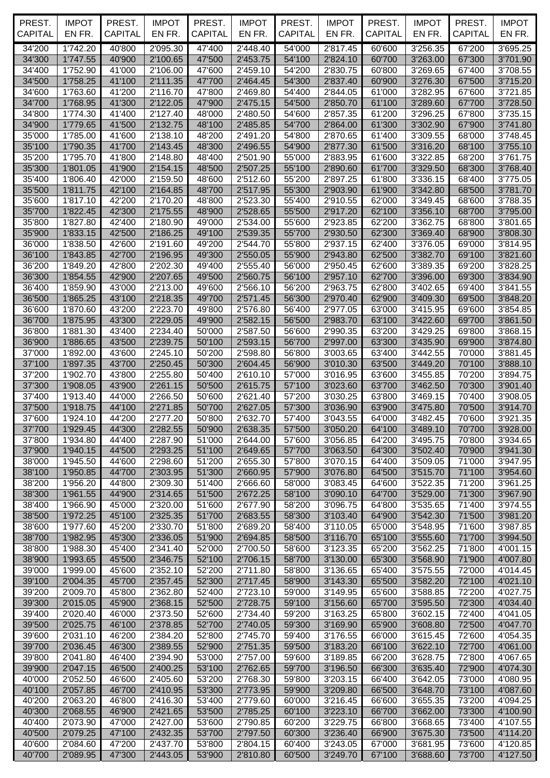| PREST.<br><b>CAPITAL</b> | <b>IMPOT</b><br>EN FR. | PREST.<br><b>CAPITAL</b> | <b>IMPOT</b><br>EN FR. | PREST.<br><b>CAPITAL</b> | <b>IMPOT</b><br>EN FR. | PREST.<br><b>CAPITAL</b> | <b>IMPOT</b><br>EN FR. | PREST.<br>CAPITAL | <b>IMPOT</b><br>EN FR. | PREST.<br><b>CAPITAL</b> | <b>IMPOT</b><br>EN FR. |
|--------------------------|------------------------|--------------------------|------------------------|--------------------------|------------------------|--------------------------|------------------------|-------------------|------------------------|--------------------------|------------------------|
| 34'200                   | 1'742.20               | 40'800                   | 2'095.30               | 47'400                   | 2'448.40               | 54'000                   | 2'817.45               | 60'600            | 3'256.35               | 67'200                   | 3'695.25               |
| 34'300                   | 1'747.55               | 40'900                   | 2'100.65               | 47'500                   | 2'453.75               | 54'100                   | 2'824.10               | 60'700            | 3'263.00               | 67'300                   | 3'701.90               |
| 34'400                   | 1'752.90               | 41'000                   | 2'106.00               | 47'600                   | 2'459.10               | 54'200                   | 2'830.75               | 60'800            | 3'269.65               | 67'400                   | 3'708.55               |
| 34'500                   | 1'758.25               | 41'100                   | 2'111.35               | 47'700                   | 2'464.45               | 54'300                   | 2'837.40               | 60'900            | 3'276.30               | 67'500                   | 3'715.20               |
| 34'600<br>34'700         | 1'763.60<br>1'768.95   | 41'200<br>41'300         | 2'116.70<br>2'122.05   | 47'800<br>47'900         | 2'469.80<br>2'475.15   | 54'400<br>54'500         | 2'844.05<br>2'850.70   | 61'000<br>61'100  | 3'282.95<br>3'289.60   | 67'600<br>67'700         | 3'721.85<br>3'728.50   |
| 34'800                   | 1'774.30               | 41'400                   | 2'127.40               | 48'000                   | 2'480.50               | 54'600                   | 2'857.35               | 61'200            | 3'296.25               | 67'800                   | 3'735.15               |
| 34'900                   | 1'779.65               | 41'500                   | 2'132.75               | 48'100                   | 2'485.85               | 54'700                   | 2'864.00               | 61'300            | 3'302.90               | 67'900                   | 3'741.80               |
| 35'000                   | 1'785.00               | 41'600                   | 2'138.10               | 48'200                   | 2'491.20               | 54'800                   | 2'870.65               | 61'400            | 3'309.55               | 68'000                   | 3'748.45               |
| 35'100                   | 1'790.35               | 41'700                   | 2'143.45               | 48'300                   | 2'496.55               | 54'900                   | 2'877.30               | 61'500            | 3'316.20               | 68'100                   | 3'755.10               |
| 35'200                   | 1'795.70               | 41'800                   | 2'148.80               | 48'400                   | 2'501.90               | 55'000                   | 2'883.95               | 61'600            | 3'322.85               | 68'200                   | 3'761.75               |
| 35'300<br>35'400         | 1'801.05<br>1'806.40   | 41'900<br>42'000         | 2'154.15<br>2'159.50   | 48'500<br>48'600         | 2'507.25<br>2'512.60   | 55'100<br>55'200         | 2'890.60<br>2'897.25   | 61'700<br>61'800  | 3'329.50<br>3'336.15   | 68'300<br>68'400         | 3'768.40<br>3'775.05   |
| 35'500                   | 1'811.75               | 42'100                   | 2'164.85               | 48'700                   | 2'517.95               | 55'300                   | 2'903.90               | 61'900            | 3'342.80               | 68'500                   | 3'781.70               |
| 35'600                   | 1'817.10               | 42'200                   | 2'170.20               | 48'800                   | 2'523.30               | 55'400                   | 2'910.55               | 62'000            | 3'349.45               | 68'600                   | 3'788.35               |
| 35'700                   | 1'822.45               | 42'300                   | 2'175.55               | 48'900                   | 2'528.65               | 55'500                   | 2'917.20               | 62'100            | 3'356.10               | 68'700                   | 3'795.00               |
| 35'800                   | 1'827.80               | 42'400                   | 2'180.90               | 49'000                   | 2'534.00               | 55'600                   | 2'923.85               | 62'200            | 3'362.75               | 68'800                   | 3'801.65               |
| 35'900                   | 1'833.15               | 42'500                   | 2'186.25               | 49'100                   | 2'539.35               | 55'700                   | 2'930.50               | 62'300            | 3'369.40               | 68'900                   | 3'808.30               |
| 36'000<br>36'100         | 1'838.50<br>1'843.85   | 42'600<br>42'700         | 2'191.60<br>2'196.95   | 49'200<br>49'300         | 2'544.70<br>2'550.05   | 55'800<br>55'900         | 2'937.15<br>2'943.80   | 62'400<br>62'500  | 3'376.05<br>3'382.70   | 69'000<br>69'100         | 3'814.95<br>3'821.60   |
| 36'200                   | 1'849.20               | 42'800                   | 2'202.30               | 49'400                   | 2'555.40               | 56'000                   | 2'950.45               | 62'600            | 3'389.35               | 69'200                   | 3'828.25               |
| 36'300                   | 1'854.55               | 42'900                   | 2'207.65               | 49'500                   | 2'560.75               | 56'100                   | 2'957.10               | 62'700            | 3'396.00               | 69'300                   | 3'834.90               |
| 36'400                   | 1'859.90               | 43'000                   | 2'213.00               | 49'600                   | 2'566.10               | 56'200                   | 2'963.75               | 62'800            | 3'402.65               | 69'400                   | 3'841.55               |
| 36'500                   | 1'865.25               | 43'100                   | 2'218.35               | 49'700                   | 2'571.45               | 56'300                   | 2'970.40               | 62'900            | 3'409.30               | 69'500                   | 3'848.20               |
| 36'600                   | 1'870.60               | 43'200                   | 2'223.70               | 49'800                   | 2'576.80               | 56'400                   | 2'977.05               | 63'000            | 3'415.95               | 69'600                   | 3'854.85               |
| 36'700                   | 1'875.95               | 43'300                   | 2'229.05               | 49'900                   | 2'582.15               | 56'500                   | 2'983.70               | 63'100            | 3'422.60               | 69'700                   | 3'861.50               |
| 36'800                   | 1'881.30<br>1'886.65   | 43'400<br>43'500         | 2'234.40<br>2'239.75   | 50'000                   | 2'587.50               | 56'600<br>56'700         | 2'990.35               | 63'200<br>63'300  | 3'429.25               | 69'800                   | 3'868.15               |
| 36'900<br>37'000         | 1'892.00               | 43'600                   | 2'245.10               | 50'100<br>50'200         | 2'593.15<br>2'598.80   | 56'800                   | 2'997.00<br>3'003.65   | 63'400            | 3'435.90<br>3'442.55   | 69'900<br>70'000         | 3'874.80<br>3'881.45   |
| 37'100                   | 1'897.35               | 43'700                   | 2'250.45               | 50'300                   | 2'604.45               | 56'900                   | 3'010.30               | 63'500            | 3'449.20               | 70'100                   | 3'888.10               |
| 37'200                   | 1'902.70               | 43'800                   | 2'255.80               | 50'400                   | 2'610.10               | 57'000                   | 3'016.95               | 63'600            | 3'455.85               | 70'200                   | 3'894.75               |
| 37'300                   | 1'908.05               | 43'900                   | 2'261.15               | 50'500                   | 2'615.75               | 57'100                   | 3'023.60               | 63'700            | 3'462.50               | 70'300                   | 3'901.40               |
| 37'400                   | 1'913.40               | 44'000                   | 2'266.50               | 50'600                   | 2'621.40               | 57'200                   | 3'030.25               | 63'800            | 3'469.15               | 70'400                   | 3'908.05               |
| 37'500                   | 1'918.75               | 44'100                   | 2'271.85               | 50'700                   | 2'627.05               | 57'300                   | 3'036.90               | 63'900            | 3'475.80               | 70'500                   | 3'914.70               |
| 37'600                   | 1'924.10               | 44'200                   | 2'277.20               | 50'800                   | 2'632.70               | 57'400                   | 3'043.55               | 64'000            | 3'482.45               | 70'600                   | 3'921.35               |
| 37'700<br>37'800         | 1'929.45<br>1'934.80   | 44'300<br>44'400         | 2'282.55<br>2'287.90   | 50'900<br>51'000         | 2'638.35<br>2'644.00   | 57'500<br>57'600         | 3'050.20<br>3'056.85   | 64'100<br>64'200  | 3'489.10<br>3'495.75   | 70'700<br>70'800         | 3'928.00<br>3'934.65   |
| 37'900                   | 1'940.15               | 44'500                   | 2'293.25               | 51'100                   | 2'649.65               | 57'700                   | 3'063.50               | 64'300            | 3'502.40               | 70'900                   | 3'941.30               |
| 38'000                   | 1'945.50               | 44'600                   | 2'298.60               | 51'200                   | 2'655.30               | 57'800                   | 3'070.15               | 64'400            | 3'509.05               | 71'000                   | 3'947.95               |
| 38'100                   | 1'950.85               | 44'700                   | 2'303.95               | 51'300                   | 2'660.95               | 57'900                   | 3'076.80               | 64'500            | 3'515.70               | 71'100                   | 3'954.60               |
| 38'200                   | 1'956.20               | 44'800                   | 2'309.30               | 51'400                   | 2'666.60               | 58'000                   | 3'083.45               | 64'600            | 3'522.35               | 71'200                   | 3'961.25               |
| 38'300                   | 1'961.55               | 44'900                   | 2'314.65               | 51'500                   | 2'672.25               | 58'100                   | 3'090.10               | 64'700            | 3'529.00               | 71'300                   | 3'967.90               |
| 38'400                   | 1'966.90               | 45'000<br>45'100         | 2'320.00               | 51'600                   | 2'677.90<br>2'683.55   | 58'200                   | 3'096.75               | 64'800            | 3'535.65               | 71'400                   | 3'974.55               |
| 38'500<br>38'600         | 1'972.25<br>1'977.60   | 45'200                   | 2'325.35<br>2'330.70   | 51'700<br>51'800         | 2'689.20               | 58'300<br>58'400         | 3'103.40<br>3'110.05   | 64'900<br>65'000  | 3'542.30<br>3'548.95   | 71'500<br>71'600         | 3'981.20<br>3'987.85   |
| 38'700                   | 1'982.95               | 45'300                   | 2'336.05               | 51'900                   | 2'694.85               | 58'500                   | 3'116.70               | 65'100            | 3'555.60               | 71'700                   | 3'994.50               |
| 38'800                   | 1'988.30               | 45'400                   | 2'341.40               | 52'000                   | 2'700.50               | 58'600                   | 3'123.35               | 65'200            | 3'562.25               | 71'800                   | 4'001.15               |
| 38'900                   | 1'993.65               | 45'500                   | 2'346.75               | 52'100                   | 2'706.15               | 58'700                   | 3'130.00               | 65'300            | 3'568.90               | 71'900                   | 4'007.80               |
| 39'000                   | 1'999.00               | 45'600                   | 2'352.10               | 52'200                   | 2'711.80               | 58'800                   | 3'136.65               | 65'400            | 3'575.55               | 72'000                   | 4'014.45               |
| 39'100                   | 2'004.35               | 45'700                   | 2'357.45               | 52'300                   | 2'717.45               | 58'900                   | 3'143.30               | 65'500            | 3'582.20               | 72'100                   | 4'021.10               |
| 39'200                   | 2'009.70               | 45'800<br>45'900         | 2'362.80               | 52'400<br>52'500         | 2'723.10               | 59'000                   | 3'149.95               | 65'600            | 3'588.85               | 72'200<br>72'300         | 4'027.75               |
| 39'300<br>39'400         | 2'015.05<br>2'020.40   | 46'000                   | 2'368.15<br>2'373.50   | 52'600                   | 2'728.75<br>2'734.40   | 59'100<br>59'200         | 3'156.60<br>3'163.25   | 65'700<br>65'800  | 3'595.50<br>3'602.15   | 72'400                   | 4'034.40<br>4'041.05   |
| 39'500                   | 2'025.75               | 46'100                   | 2'378.85               | 52'700                   | 2'740.05               | 59'300                   | 3'169.90               | 65'900            | 3'608.80               | 72'500                   | 4'047.70               |
| 39'600                   | 2'031.10               | 46'200                   | 2'384.20               | 52'800                   | 2'745.70               | 59'400                   | 3'176.55               | 66'000            | 3'615.45               | 72'600                   | 4'054.35               |
| 39'700                   | 2'036.45               | 46'300                   | 2'389.55               | 52'900                   | 2'751.35               | 59'500                   | 3'183.20               | 66'100            | 3'622.10               | 72'700                   | 4'061.00               |
| 39'800                   | 2'041.80               | 46'400                   | 2'394.90               | 53'000                   | 2'757.00               | 59'600                   | 3'189.85               | 66'200            | 3'628.75               | 72'800                   | 4'067.65               |
| 39'900                   | 2'047.15               | 46'500                   | 2'400.25               | 53'100                   | 2'762.65               | 59'700                   | 3'196.50               | 66'300            | 3'635.40               | 72'900                   | 4'074.30               |
| 40'000                   | 2'052.50               | 46'600                   | 2'405.60               | 53'200                   | 2'768.30               | 59'800                   | 3'203.15               | 66'400            | 3'642.05               | 73'000                   | 4'080.95               |
| 40'100<br>40'200         | 2'057.85<br>2'063.20   | 46'700<br>46'800         | 2'410.95<br>2'416.30   | 53'300<br>53'400         | 2'773.95<br>2'779.60   | 59'900<br>60'000         | 3'209.80<br>3'216.45   | 66'500<br>66'600  | 3'648.70<br>3'655.35   | 73'100<br>73'200         | 4'087.60<br>4'094.25   |
| 40'300                   | 2'068.55               | 46'900                   | 2'421.65               | 53'500                   | 2'785.25               | 60'100                   | 3'223.10               | 66'700            | 3'662.00               | 73'300                   | 4'100.90               |
| 40'400                   | 2'073.90               | 47'000                   | 2'427.00               | 53'600                   | 2'790.85               | 60'200                   | 3'229.75               | 66'800            | 3'668.65               | 73'400                   | 4'107.55               |
| 40'500                   | 2'079.25               | 47'100                   | 2'432.35               | 53'700                   | 2'797.50               | 60'300                   | 3'236.40               | 66'900            | 3'675.30               | 73'500                   | 4'114.20               |
| 40'600                   | 2'084.60               | 47'200                   | 2'437.70               | 53'800                   | 2'804.15               | 60'400                   | 3'243.05               | 67'000            | 3'681.95               | 73'600                   | 4'120.85               |
| 40'700                   | 2'089.95               | 47'300                   | 2'443.05               | 53'900                   | 2'810.80               | 60'500                   | 3'249.70               | 67'100            | 3'688.60               | 73'700                   | 4'127.50               |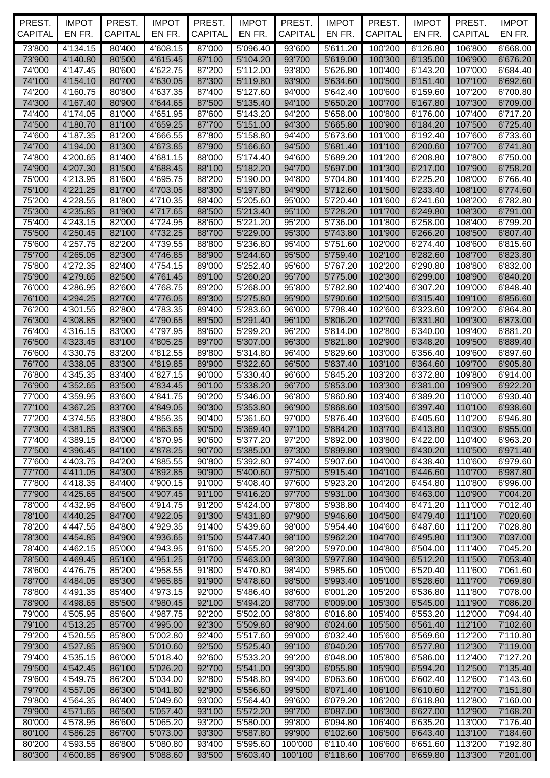| PREST.<br><b>CAPITAL</b> | <b>IMPOT</b><br>EN FR. | PREST.<br><b>CAPITAL</b> | <b>IMPOT</b><br>EN FR. | PREST.<br>CAPITAL | <b>IMPOT</b><br>EN FR. | PREST.<br><b>CAPITAL</b> | <b>IMPOT</b><br>EN FR. | PREST.<br>CAPITAL           | <b>IMPOT</b><br>EN FR. | PREST.<br><b>CAPITAL</b>    | <b>IMPOT</b><br>EN FR. |
|--------------------------|------------------------|--------------------------|------------------------|-------------------|------------------------|--------------------------|------------------------|-----------------------------|------------------------|-----------------------------|------------------------|
| 73'800                   | 4'134.15               | 80'400                   | 4'608.15               | 87'000            | 5'096.40               | 93'600                   | 5'611.20               | 100'200                     | 6'126.80               | 106'800                     | 6'668.00               |
| 73'900                   | 4'140.80               | 80'500                   | 4'615.45               | 87'100            | 5'104.20               | 93'700                   | 5'619.00               | 100'300                     | 6'135.00               | 106'900                     | 6'676.20               |
| 74'000                   | 4'147.45               | 80'600                   | 4'622.75               | 87'200            | 5'112.00               | 93'800                   | 5'626.80               | 100'400                     | 6'143.20               | 107'000                     | 6'684.40               |
| 74'100                   | 4'154.10               | 80'700                   | 4'630.05               | 87'300            | 5'119.80               | 93'900                   | 5'634.60               | 100'500                     | 6'151.40               | 107'100                     | 6'692.60               |
| 74'200                   | 4'160.75               | 80'800                   | 4'637.35               | 87'400            | 5'127.60               | 94'000                   | 5'642.40               | 100'600                     | 6'159.60               | 107'200                     | 6'700.80               |
| 74'300                   | 4'167.40               | 80'900                   | 4'644.65               | 87'500            | 5'135.40               | 94'100                   | 5'650.20               | 100'700                     | 6'167.80               | 107'300                     | 6'709.00               |
| 74'400<br>74'500         | 4'174.05<br>4'180.70   | 81'000<br>81'100         | 4'651.95<br>4'659.25   | 87'600<br>87'700  | 5'143.20<br>5'151.00   | 94'200<br>94'300         | 5'658.00<br>5'665.80   | 100'800<br>100'900          | 6'176.00<br>6'184.20   | 107'400<br>107'500          | 6'717.20<br>6'725.40   |
| 74'600                   | 4'187.35               | 81'200                   | 4'666.55               | 87'800            | 5'158.80               | 94'400                   | 5'673.60               | 101'000                     | 6'192.40               | 107'600                     | 6'733.60               |
| 74'700                   | 4'194.00               | 81'300                   | 4'673.85               | 87'900            | 5'166.60               | 94'500                   | 5'681.40               | 101'100                     | 6'200.60               | 107'700                     | 6'741.80               |
| 74'800                   | 4'200.65               | 81'400                   | 4'681.15               | 88'000            | 5'174.40               | 94'600                   | 5'689.20               | 101'200                     | 6'208.80               | 107'800                     | 6'750.00               |
| 74'900                   | 4'207.30               | 81'500                   | 4'688.45               | 88'100            | 5'182.20               | 94'700                   | 5'697.00               | 101'300                     | 6'217.00               | 107'900                     | 6'758.20               |
| 75'000                   | 4'213.95               | 81'600                   | 4'695.75               | 88'200            | 5'190.00               | 94'800                   | 5'704.80               | 101'400                     | 6'225.20               | 108'000                     | 6'766.40               |
| 75'100                   | 4'221.25               | 81'700                   | 4'703.05               | 88'300            | 5'197.80               | 94'900                   | 5'712.60               | 101'500                     | 6'233.40               | 108'100                     | 6'774.60               |
| 75'200                   | 4'228.55               | 81'800                   | 4'710.35               | 88'400            | 5'205.60               | 95'000                   | 5'720.40               | 101'600                     | 6'241.60               | 108'200                     | 6'782.80               |
| 75'300<br>75'400         | 4'235.85<br>4'243.15   | 81'900<br>82'000         | 4'717.65<br>4'724.95   | 88'500<br>88'600  | 5'213.40<br>5'221.20   | 95'100<br>95'200         | 5'728.20<br>5'736.00   | 101'700<br>101'800          | 6'249.80<br>6'258.00   | 108'300<br>108'400          | 6'791.00<br>6'799.20   |
| 75'500                   | 4'250.45               | 82'100                   | 4'732.25               | 88'700            | 5'229.00               | 95'300                   | 5'743.80               | 101'900                     | 6'266.20               | 108'500                     | 6'807.40               |
| 75'600                   | 4'257.75               | 82'200                   | 4'739.55               | 88'800            | 5'236.80               | 95'400                   | 5'751.60               | 102'000                     | 6'274.40               | 108'600                     | 6'815.60               |
| 75'700                   | 4'265.05               | 82'300                   | 4'746.85               | 88'900            | 5'244.60               | 95'500                   | 5'759.40               | 102'100                     | 6'282.60               | 108'700                     | 6'823.80               |
| 75'800                   | 4'272.35               | 82'400                   | 4'754.15               | 89'000            | 5'252.40               | 95'600                   | 5'767.20               | 102'200                     | 6'290.80               | 108'800                     | 6'832.00               |
| 75'900                   | 4'279.65               | 82'500                   | 4'761.45               | 89'100            | 5'260.20               | 95'700                   | 5'775.00               | 102'300                     | 6'299.00               | 108'900                     | 6'840.20               |
| 76'000                   | 4'286.95               | 82'600                   | 4'768.75               | 89'200            | 5'268.00               | 95'800                   | 5'782.80               | 102'400                     | 6'307.20               | 109'000                     | 6'848.40               |
| 76'100                   | 4'294.25               | 82'700                   | 4'776.05               | 89'300            | 5'275.80               | 95'900                   | 5'790.60               | 102'500                     | 6'315.40               | 109'100                     | 6'856.60               |
| 76'200                   | 4'301.55               | 82'800                   | 4'783.35               | 89'400            | 5'283.60               | 96'000                   | 5'798.40               | 102'600                     | 6'323.60               | 109'200                     | 6'864.80               |
| 76'300<br>76'400         | 4'308.85<br>4'316.15   | 82'900<br>83'000         | 4'790.65<br>4'797.95   | 89'500<br>89'600  | 5'291.40<br>5'299.20   | 96'100<br>96'200         | 5'806.20<br>5'814.00   | 102'700<br>102'800          | 6'331.80<br>6'340.00   | 109'300<br>109'400          | 6'873.00<br>6'881.20   |
| 76'500                   | 4'323.45               | 83'100                   | 4'805.25               | 89'700            | 5'307.00               | 96'300                   | 5'821.80               | 102'900                     | 6'348.20               | 109'500                     | 6'889.40               |
| 76'600                   | 4'330.75               | 83'200                   | 4'812.55               | 89'800            | 5'314.80               | 96'400                   | 5'829.60               | 103'000                     | 6'356.40               | 109'600                     | 6'897.60               |
| 76'700                   | 4'338.05               | 83'300                   | 4'819.85               | 89'900            | 5'322.60               | 96'500                   | 5'837.40               | 103'100                     | 6'364.60               | 109'700                     | 6'905.80               |
| 76'800                   | 4'345.35               | 83'400                   | 4'827.15               | 90'000            | 5'330.40               | 96'600                   | 5'845.20               | 103'200                     | 6'372.80               | 109'800                     | 6'914.00               |
| 76'900                   | 4'352.65               | 83'500                   | 4'834.45               | 90'100            | 5'338.20               | 96'700                   | 5'853.00               | 103'300                     | 6'381.00               | 109'900                     | 6'922.20               |
| 77'000                   | 4'359.95               | 83'600                   | 4'841.75               | 90'200            | 5'346.00               | 96'800                   | 5'860.80               | 103'400                     | 6'389.20               | 110'000                     | 6'930.40               |
| 77'100                   | 4'367.25               | 83'700                   | 4'849.05               | 90'300            | 5'353.80               | 96'900                   | 5'868.60               | 103'500                     | 6'397.40               | 110'100                     | 6'938.60               |
| 77'200                   | 4'374.55               | 83'800                   | 4'856.35               | 90'400            | 5'361.60               | 97'000                   | 5'876.40               | 103'600                     | 6'405.60               | 110'200                     | 6'946.80               |
| 77'300<br>77'400         | 4'381.85<br>4'389.15   | 83'900<br>84'000         | 4'863.65<br>4'870.95   | 90'500<br>90'600  | 5'369.40<br>5'377.20   | 97'100<br>97'200         | 5'892.00               | 5'884.20 103'700<br>103'800 | 6'422.00               | 6'413.80 110'300<br>110'400 | 6'955.00<br>6'963.20   |
| 77'500                   | 4'396.45               | 84'100                   | 4'878.25               | 90'700            | 5'385.00               | 97'300                   | 5'899.80               | 103'900                     | 6'430.20               | 110'500                     | 6'971.40               |
| 77'600                   | 4'403.75               | 84'200                   | 4'885.55               | 90'800            | 5'392.80               | 97'400                   | 5'907.60               | 104'000                     | 6'438.40               | 110'600                     | 6'979.60               |
| 77'700                   | 4'411.05               | 84'300                   | 4'892.85               | 90'900            | 5'400.60               | 97'500                   | 5'915.40               | 104'100                     | 6'446.60               | 110'700                     | 6'987.80               |
| 77'800                   | 4'418.35               | 84'400                   | 4'900.15               | 91'000            | 5'408.40               | 97'600                   | 5'923.20               | 104'200                     | 6'454.80               | 110'800                     | 6'996.00               |
| 77'900                   | 4'425.65               | 84'500                   | 4'907.45               | 91'100            | 5'416.20               | 97'700                   | 5'931.00               | 104'300                     | 6'463.00               | 110'900                     | 7'004.20               |
| 78'000                   | 4'432.95               | 84'600                   | 4'914.75               | 91'200            | 5'424.00               | 97'800                   | 5'938.80               | 104'400                     | 6'471.20               | 111'000                     | 7'012.40               |
| 78'100                   | 4'440.25               | 84'700                   | 4'922.05               | 91'300            | 5'431.80               | 97'900                   | 5'946.60               | 104'500                     | 6'479.40               | 111'100                     | 7'020.60               |
| 78'200<br>78'300         | 4'447.55<br>4'454.85   | 84'800<br>84'900         | 4'929.35<br>4'936.65   | 91'400<br>91'500  | 5'439.60<br>5'447.40   | 98'000<br>98'100         | 5'954.40<br>5'962.20   | 104'600<br>104'700          | 6'487.60<br>6'495.80   | 111'200<br>111'300          | 7'028.80<br>7'037.00   |
| 78'400                   | 4'462.15               | 85'000                   | 4'943.95               | 91'600            | 5'455.20               | 98'200                   | 5'970.00               | 104'800                     | 6'504.00               | 111'400                     | 7'045.20               |
| 78'500                   | 4'469.45               | 85'100                   | 4'951.25               | 91'700            | 5'463.00               | 98'300                   | 5'977.80               | 104'900                     | 6'512.20               | 111'500                     | 7'053.40               |
| 78'600                   | 4'476.75               | 85'200                   | 4'958.55               | 91'800            | 5'470.80               | 98'400                   | 5'985.60               | 105'000                     | 6'520.40               | 111'600                     | 7'061.60               |
| 78'700                   | 4'484.05               | 85'300                   | 4'965.85               | 91'900            | 5'478.60               | 98'500                   | 5'993.40               | 105'100                     | 6'528.60               | 111'700                     | 7'069.80               |
| 78'800                   | 4'491.35               | 85'400                   | 4'973.15               | 92'000            | 5'486.40               | 98'600                   | 6'001.20               | 105'200                     | 6'536.80               | 111'800                     | 7'078.00               |
| 78'900                   | 4'498.65               | 85'500                   | 4'980.45               | 92'100            | 5'494.20               | 98'700                   | 6'009.00               | 105'300                     | 6'545.00               | 111'900                     | 7'086.20               |
| 79'000                   | 4'505.95               | 85'600                   | 4'987.75               | 92'200            | 5'502.00               | 98'800                   | 6'016.80               | 105'400                     | 6'553.20               | 112'000                     | 7'094.40               |
| 79'100<br>79'200         | 4'513.25<br>4'520.55   | 85'700<br>85'800         | 4'995.00<br>5'002.80   | 92'300<br>92'400  | 5'509.80<br>5'517.60   | 98'900<br>99'000         | 6'024.60<br>6'032.40   | 105'500<br>105'600          | 6'561.40<br>6'569.60   | 112'100<br>112'200          | 7'102.60<br>7'110.80   |
| 79'300                   | 4'527.85               | 85'900                   | 5'010.60               | 92'500            | 5'525.40               | 99'100                   | 6'040.20               | 105'700                     | 6'577.80               | 112'300                     | 7'119.00               |
| 79'400                   | 4'535.15               | 86'000                   | 5'018.40               | 92'600            | 5'533.20               | 99'200                   | 6'048.00               | 105'800                     | 6'586.00               | 112'400                     | 7'127.20               |
| 79'500                   | 4'542.45               | 86'100                   | 5'026.20               | 92'700            | 5'541.00               | 99'300                   | 6'055.80               | 105'900                     | 6'594.20               | 112'500                     | 7'135.40               |
| 79'600                   | 4'549.75               | 86'200                   | 5'034.00               | 92'800            | 5'548.80               | 99'400                   | 6'063.60               | 106'000                     | 6'602.40               | 112'600                     | 7'143.60               |
| 79'700                   | 4'557.05               | 86'300                   | 5'041.80               | 92'900            | 5'556.60               | 99'500                   | 6'071.40               | 106'100                     | 6'610.60               | 112'700                     | 7'151.80               |
| 79'800                   | 4'564.35               | 86'400                   | 5'049.60               | 93'000            | 5'564.40               | 99'600                   | 6'079.20               | 106'200                     | 6'618.80               | 112'800                     | 7'160.00               |
| 79'900                   | 4'571.65               | 86'500                   | 5'057.40               | 93'100            | 5'572.20               | 99'700                   | 6'087.00               | 106'300                     | 6'627.00               | 112'900                     | 7'168.20               |
| 80'000                   | 4'578.95               | 86'600<br>86'700         | 5'065.20               | 93'200<br>93'300  | 5'580.00               | 99'800                   | 6'094.80<br>6'102.60   | 106'400                     | 6'635.20               | 113'000                     | 7'176.40               |
| 80'100<br>80'200         | 4'586.25<br>4'593.55   | 86'800                   | 5'073.00<br>5'080.80   | 93'400            | 5'587.80<br>5'595.60   | 99'900<br>100'000        | 6'110.40               | 106'500<br>106'600          | 6'643.40<br>6'651.60   | 113'100<br>113'200          | 7'184.60<br>7'192.80   |
| 80'300                   | 4'600.85               | 86'900                   | 5'088.60               | 93'500            | 5'603.40               | 100'100                  | 6'118.60               | 106'700                     | 6'659.80               | 113'300                     | 7'201.00               |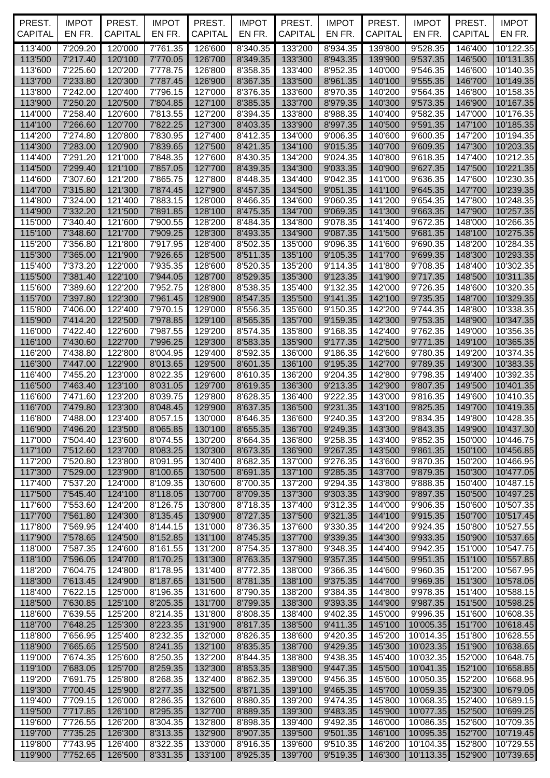| PREST.<br><b>CAPITAL</b> | <b>IMPOT</b><br>EN FR.       | PREST.<br><b>CAPITAL</b> | <b>IMPOT</b><br>EN FR. | PREST.<br>CAPITAL  | <b>IMPOT</b><br>EN FR. | PREST.<br><b>CAPITAL</b> | <b>IMPOT</b><br>EN FR.                  | PREST.<br><b>CAPITAL</b> | <b>IMPOT</b><br>EN FR.             | PREST.<br><b>CAPITAL</b> | <b>IMPOT</b><br>EN FR. |
|--------------------------|------------------------------|--------------------------|------------------------|--------------------|------------------------|--------------------------|-----------------------------------------|--------------------------|------------------------------------|--------------------------|------------------------|
| 113'400                  |                              |                          |                        |                    |                        |                          |                                         |                          |                                    |                          |                        |
| 113'500                  | 7'209.20<br>7'217.40         | 120'000<br>120'100       | 7'761.35<br>7'770.05   | 126'600<br>126'700 | 8'340.35<br>8'349.35   | 133'200<br>133'300       | 8'934.35<br>8'943.35                    | 139'800<br>139'900       | $\overline{9}$ '528.35<br>9'537.35 | 146'400<br>146'500       | 10'122.35<br>10'131.35 |
| 113'600                  | 7'225.60                     | 120'200                  | 7'778.75               | 126'800            | 8'358.35               | 133'400                  | 8'952.35                                | 140'000                  | 9'546.35                           | 146'600                  | 10'140.35              |
| 113'700                  | 7'233.80                     | 120'300                  | 7'787.45               | 126'900            | 8'367.35               | 133'500                  | 8'961.35                                | 140'100                  | 9'555.35                           | 146'700                  | 10'149.35              |
| 113'800                  | 7'242.00                     | 120'400                  | 7'796.15               | 127'000            | 8'376.35               | 133'600                  | 8'970.35                                | 140'200                  | 9'564.35                           | 146'800                  | 10'158.35              |
| 113'900                  | 7'250.20                     | 120'500                  | 7'804.85               | 127'100            | 8'385.35               | 133'700                  | 8'979.35                                | 140'300                  | 9'573.35                           | 146'900                  | 10'167.35              |
| 114'000                  | 7'258.40                     | 120'600                  | 7'813.55               | 127'200            | 8'394.35               | 133'800                  | 8'988.35                                | 140'400                  | 9'582.35                           | 147'000                  | 10'176.35              |
| 114'100                  | 7'266.60<br>7'274.80         | 120'700                  | 7'822.25               | 127'300            | 8'403.35<br>8'412.35   | 133'900                  | 8'997.35                                | 140'500                  | 9'591.35                           | 147'100                  | 10'185.35              |
| 114'200<br>114'300       | 7'283.00                     | 120'800<br>120'900       | 7'830.95<br>7'839.65   | 127'400<br>127'500 | 8'421.35               | 134'000<br>134'100       | 9'006.35<br>9'015.35                    | 140'600<br>140'700       | 9'600.35<br>9'609.35               | 147'200<br>147'300       | 10'194.35<br>10'203.35 |
| 114'400                  | 7'291.20                     | 121'000                  | 7'848.35               | 127'600            | 8'430.35               | 134'200                  | $\overline{9}$ '024.35                  | 140'800                  | 9'618.35                           | 147'400                  | 10'212.35              |
| 114'500                  | 7'299.40                     | 121'100                  | 7'857.05               | 127'700            | 8'439.35               | 134'300                  | 9'033.35                                | 140'900                  | 9'627.35                           | 147'500                  | 10'221.35              |
| 114'600                  | 7'307.60                     | 121'200                  | 7'865.75               | 127'800            | 8'448.35               | 134'400                  | 9'042.35                                | 141'000                  | 9'636.35                           | 147'600                  | 10'230.35              |
| 114'700                  | 7'315.80                     | 121'300                  | 7'874.45               | 127'900            | 8'457.35               | 134'500                  | 9'051.35                                | 141'100                  | 9'645.35                           | 147'700                  | 10'239.35              |
| 114'800                  | 7'324.00                     | 121'400                  | 7'883.15               | 128'000            | 8'466.35               | 134'600                  | 9'060.35                                | 141'200                  | 9'654.35                           | 147'800                  | 10'248.35              |
| 114'900                  | 7'332.20                     | 121'500                  | 7'891.85               | 128'100            | 8'475.35               | 134'700                  | 9'069.35                                | 141'300                  | 9'663.35                           | 147'900                  | 10'257.35              |
| 115'000                  | 7'340.40                     | 121'600                  | 7'900.55               | 128'200            | 8'484.35               | 134'800                  | 9'078.35                                | 141'400                  | 9'672.35                           | 148'000                  | 10'266.35              |
| 115'100<br>115'200       | 7'348.60<br>7'356.80         | 121'700<br>121'800       | 7'909.25<br>7'917.95   | 128'300<br>128'400 | 8'493.35<br>8'502.35   | 134'900<br>135'000       | 9'087.35<br>9'096.35                    | 141'500<br>141'600       | 9'681.35<br>9'690.35               | 148'100<br>148'200       | 10'275.35<br>10'284.35 |
| 115'300                  | 7'365.00                     | 121'900                  | 7'926.65               | 128'500            | 8'511.35               | 135'100                  | 9'105.35                                | 141'700                  | 9'699.35                           | 148'300                  | 10'293.35              |
| 115'400                  | 7'373.20                     | 122'000                  | 7'935.35               | 128'600            | 8'520.35               | 135'200                  | 9'114.35                                | 141'800                  | 9'708.35                           | 148'400                  | 10'302.35              |
| 115'500                  | 7'381.40                     | 122'100                  | 7'944.05               | 128'700            | 8'529.35               | 135'300                  | 9'123.35                                | 141'900                  | 9'717.35                           | 148'500                  | 10'311.35              |
| 115'600                  | 7'389.60                     | 122'200                  | 7'952.75               | 128'800            | 8'538.35               | 135'400                  | 9'132.35                                | 142'000                  | 9'726.35                           | 148'600                  | 10'320.35              |
| 115'700                  | 7'397.80                     | 122'300                  | 7'961.45               | 128'900            | 8'547.35               | 135'500                  | 9'141.35                                | 142'100                  | 9'735.35                           | 148'700                  | 10'329.35              |
| 115'800                  | 7'406.00                     | 122'400                  | 7'970.15               | 129'000            | 8'556.35               | 135'600                  | 9'150.35                                | 142'200                  | 9'744.35                           | 148'800                  | 10'338.35              |
| 115'900                  | 7'414.20                     | 122'500                  | 7'978.85               | 129'100            | 8'565.35               | 135'700                  | 9'159.35                                | 142'300                  | 9'753.35                           | 148'900                  | 10'347.35              |
| 116'000<br>116'100       | 7'422.40<br>7'430.60         | 122'600<br>122'700       | 7'987.55<br>7'996.25   | 129'200<br>129'300 | 8'574.35<br>8'583.35   | 135'800<br>135'900       | 9'168.35<br>9'177.35                    | 142'400<br>142'500       | 9'762.35<br>9'771.35               | 149'000<br>149'100       | 10'356.35<br>10'365.35 |
| 116'200                  | 7'438.80                     | 122'800                  | 8'004.95               | 129'400            | 8'592.35               | 136'000                  | 9'186.35                                | 142'600                  | 9'780.35                           | 149'200                  | 10'374.35              |
| 116'300                  | 7'447.00                     | 122'900                  | 8'013.65               | 129'500            | 8'601.35               | 136'100                  | 9'195.35                                | 142'700                  | 9'789.35                           | 149'300                  | 10'383.35              |
| 116'400                  | 7'455.20                     | 123'000                  | 8'022.35               | 129'600            | 8'610.35               | 136'200                  | 9'204.35                                | 142'800                  | 9'798.35                           | 149'400                  | 10'392.35              |
| 116'500                  | 7'463.40                     | 123'100                  | 8'031.05               | 129'700            | 8'619.35               | 136'300                  | 9'213.35                                | 142'900                  | 9'807.35                           | 149'500                  | 10'401.35              |
| 116'600                  | 7'471.60                     | 123'200                  | 8'039.75               | 129'800            | 8'628.35               | 136'400                  | 9'222.35                                | 143'000                  | 9'816.35                           | 149'600                  | 10'410.35              |
| 116'700                  | 7'479.80                     | 123'300                  | 8'048.45               | 129'900            | 8'637.35               | 136'500                  | 9'231.35                                | 143'100                  | 9'825.35                           | 149'700                  | 10'419.35              |
| 116'800                  | 7'488.00                     | 123'400                  | 8'057.15               | 130'000            | 8'646.35               | 136'600                  | 9'240.35                                | 143'200                  | 9'834.35                           | 149'800                  | 10'428.35              |
|                          | 116'900 7'496.20<br>7'504.40 | 123'500<br>123'600       | 8'065.85               | 130'100<br>130'200 |                        |                          | 8'655.35   136'700   9'249.35   143'300 | 143'400                  |                                    | 9'843.35 149'900         | 10'437.30              |
| 117'000<br>117'100       | 7'512.60                     | 123'700                  | 8'074.55<br>8'083.25   | 130'300            | 8'664.35<br>8'673.35   | 136'800<br>136'900       | 9'258.35<br>9'267.35                    | 143'500                  | 9'852.35<br>9'861.35               | 150'000<br>150'100       | 10'446.75<br>10'456.85 |
| 117'200                  | 7'520.80                     | 123'800                  | 8'091.95               | 130'400            | 8'682.35               | 137'000                  | 9'276.35                                | 143'600                  | 9'870.35                           | 150'200                  | 10'466.95              |
| 117'300                  | 7'529.00                     | 123'900                  | 8'100.65               | 130'500            | 8'691.35               | 137'100                  | 9'285.35                                | 143'700                  | 9'879.35                           | 150'300                  | 10'477.05              |
| 117'400                  | 7'537.20                     | 124'000                  | 8'109.35               | 130'600            | 8'700.35               | 137'200                  | 9'294.35                                | 143'800                  | 9'888.35                           | 150'400                  | 10'487.15              |
| 117'500                  | 7'545.40                     | 124'100                  | 8'118.05               | 130'700            | 8'709.35               | 137'300                  | 9'303.35                                | 143'900                  | 9'897.35                           | 150'500                  | 10'497.25              |
| 117'600                  | 7'553.60                     | 124'200                  | 8'126.75               | 130'800            | 8'718.35               | 137'400                  | 9'312.35                                | 144'000                  | 9'906.35                           | 150'600                  | 10'507.35              |
| 117'700                  | 7'561.80                     | 124'300                  | 8'135.45               | 130'900            | 8'727.35               | 137'500                  | 9'321.35                                | 144'100                  | 9'915.35                           | 150'700                  | 10'517.45              |
| 117'800<br>117'900       | 7'569.95<br>7'578.65         | 124'400<br>124'500       | 8'144.15<br>8'152.85   | 131'000<br>131'100 | 8'736.35<br>8'745.35   | 137'600<br>137'700       | 9'330.35<br>9'339.35                    | 144'200<br>144'300       | 9'924.35<br>9'933.35               | 150'800<br>150'900       | 10'527.55<br>10'537.65 |
| 118'000                  | 7'587.35                     | 124'600                  | 8'161.55               | 131'200            | 8'754.35               | 137'800                  | 9'348.35                                | 144'400                  | 9'942.35                           | 151'000                  | 10'547.75              |
| 118'100                  | 7'596.05                     | 124'700                  | 8'170.25               | 131'300            | 8'763.35               | 137'900                  | 9'357.35                                | 144'500                  | 9'951.35                           | 151'100                  | 10'557.85              |
| 118'200                  | 7'604.75                     | 124'800                  | 8'178.95               | 131'400            | 8'772.35               | 138'000                  | 9'366.35                                | 144'600                  | 9'960.35                           | 151'200                  | 10'567.95              |
| 118'300                  | 7'613.45                     | 124'900                  | 8'187.65               | 131'500            | 8'781.35               | 138'100                  | 9'375.35                                | 144'700                  | 9'969.35                           | 151'300                  | 10'578.05              |
| 118'400                  | 7'622.15                     | 125'000                  | 8'196.35               | 131'600            | 8'790.35               | 138'200                  | 9'384.35                                | 144'800                  | 9'978.35                           | 151'400                  | 10'588.15              |
| 118'500                  | 7'630.85                     | 125'100                  | 8'205.35               | 131'700            | 8'799.35               | 138'300                  | 9'393.35                                | 144'900                  | 9'987.35                           | 151'500                  | 10'598.25              |
| 118'600<br>118'700       | 7'639.55<br>7'648.25         | 125'200<br>125'300       | 8'214.35<br>8'223.35   | 131'800<br>131'900 | 8'808.35<br>8'817.35   | 138'400<br>138'500       | 9'402.35<br>9'411.35                    | 145'000<br>145'100       | 9'996.35<br>10'005.35              | 151'600<br>151'700       | 10'608.35<br>10'618.45 |
| 118'800                  | 7'656.95                     | 125'400                  | 8'232.35               | 132'000            | 8'826.35               | 138'600                  | 9'420.35                                | 145'200                  | 10'014.35                          | 151'800                  | 10'628.55              |
| 118'900                  | 7'665.65                     | 125'500                  | 8'241.35               | 132'100            | 8'835.35               | 138'700                  | 9'429.35                                | 145'300                  | 10'023.35                          | 151'900                  | 10'638.65              |
| 119'000                  | 7'674.35                     | 125'600                  | 8'250.35               | 132'200            | 8'844.35               | 138'800                  | 9'438.35                                | 145'400                  | 10'032.35                          | 152'000                  | 10'648.75              |
| 119'100                  | 7'683.05                     | 125'700                  | 8'259.35               | 132'300            | 8'853.35               | 138'900                  | 9'447.35                                | 145'500                  | 10'041.35                          | 152'100                  | 10'658.85              |
| 119'200                  | 7'691.75                     | 125'800                  | 8'268.35               | 132'400            | 8'862.35               | 139'000                  | 9'456.35                                | 145'600                  | 10'050.35                          | 152'200                  | 10'668.95              |
| 119'300                  | 7'700.45                     | 125'900                  | 8'277.35               | 132'500            | 8'871.35               | 139'100                  | 9'465.35                                | 145'700                  | 10'059.35                          | 152'300                  | 10'679.05              |
| 119'400                  | 7'709.15                     | 126'000                  | 8'286.35               | 132'600            | 8'880.35               | 139'200                  | 9'474.35                                | 145'800                  | 10'068.35                          | 152'400                  | 10'689.15              |
| 119'500<br>119'600       | 7'717.85<br>7'726.55         | 126'100<br>126'200       | 8'295.35<br>8'304.35   | 132'700<br>132'800 | 8'889.35<br>8'898.35   | 139'300<br>139'400       | 9'483.35<br>9'492.35                    | 145'900<br>146'000       | 10'077.35<br>10'086.35             | 152'500<br>152'600       | 10'699.25<br>10'709.35 |
| 119'700                  | 7'735.25                     | 126'300                  | 8'313.35               | 132'900            | 8'907.35               | 139'500                  | 9'501.35                                | 146'100                  | 10'095.35                          | 152'700                  | 10'719.45              |
| 119'800                  | 7'743.95                     | 126'400                  | 8'322.35               | 133'000            | 8'916.35               | 139'600                  | 9'510.35                                | 146'200                  | 10'104.35                          | 152'800                  | 10'729.55              |
| 119'900                  | 7'752.65                     | 126'500                  | 8'331.35               | 133'100            | 8'925.35               | 139'700                  | 9'519.35                                | 146'300                  | 10'113.35                          | 152'900                  | 10'739.65              |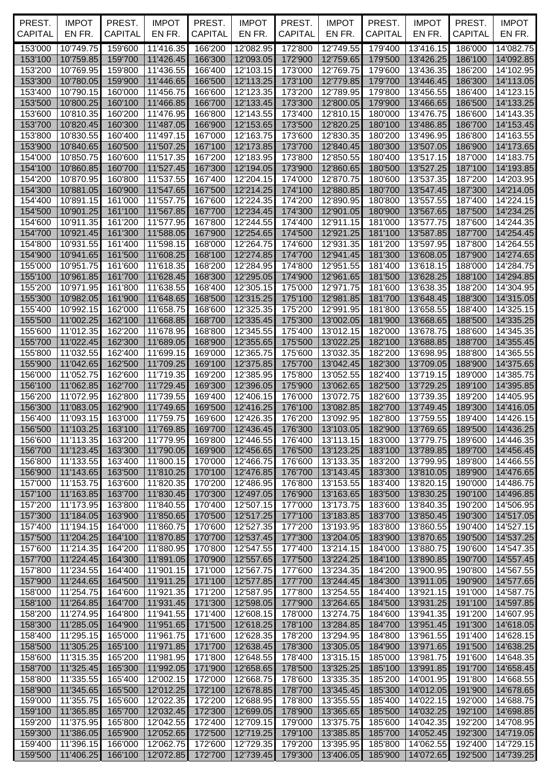| PREST.             | <b>IMPOT</b><br>EN FR.    | PREST.             | <b>IMPOT</b>           | PREST.             | <b>IMPOT</b>           | PREST.             | <b>IMPOT</b>                  | PREST.             | <b>IMPOT</b>                        | PREST.             | <b>IMPOT</b>           |
|--------------------|---------------------------|--------------------|------------------------|--------------------|------------------------|--------------------|-------------------------------|--------------------|-------------------------------------|--------------------|------------------------|
| <b>CAPITAL</b>     |                           | <b>CAPITAL</b>     | EN FR.                 | CAPITAL            | EN FR.                 | <b>CAPITAL</b>     | EN FR.                        | <b>CAPITAL</b>     | EN FR.                              | <b>CAPITAL</b>     | EN FR.                 |
| 153'000            | 10'749.75                 | 159'600            | 11'416.35              | 166'200            | 12'082.95              | 172'800            | 12'749.55                     | 179'400            | 13'416.15                           | 186'000            | 14'082.75              |
| 153'100<br>153'200 | 10'759.85<br>10'769.95    | 159'700<br>159'800 | 11'426.45<br>11'436.55 | 166'300<br>166'400 | 12'093.05<br>12'103.15 | 172'900<br>173'000 | 12'759.65<br>12'769.75        | 179'500<br>179'600 | 13'426.25<br>13'436.35              | 186'100<br>186'200 | 14'092.85<br>14'102.95 |
| 153'300            | 10'780.05                 | 159'900            | 11'446.65              | 166'500            | 12'113.25              | 173'100            | 12'779.85                     | 179'700            | 13'446.45                           | 186'300            | 14'113.05              |
| 153'400            | 10'790.15                 | 160'000            | 11'456.75              | 166'600            | 12'123.35              | 173'200            | 12'789.95                     | 179'800            | 13'456.55                           | 186'400            | 14'123.15              |
| 153'500            | 10'800.25                 | 160'100            | 11'466.85              | 166'700            | 12'133.45              | 173'300            | 12'800.05                     | 179'900            | 13'466.65                           | 186'500            | 14'133.25              |
| 153'600            | 10'810.35                 | 160'200            | 11'476.95              | 166'800            | 12'143.55              | 173'400            | 12'810.15                     | 180'000            | 13'476.75                           | 186'600            | 14'143.35              |
| 153'700            | 10'820.45                 | 160'300            | 11'487.05              | 166'900            | 12'153.65              | 173'500            | 12'820.25                     | 180'100            | 13'486.85                           | 186'700            | 14'153.45              |
| 153'800            | 10'830.55                 | 160'400            | 11'497.15              | 167'000            | 12'163.75              | 173'600            | 12'830.35                     | 180'200            | 13'496.95                           | 186'800            | 14'163.55              |
| 153'900<br>154'000 | 10'840.65<br>10'850.75    | 160'500<br>160'600 | 11'507.25<br>11'517.35 | 167'100<br>167'200 | 12'173.85<br>12'183.95 | 173'700<br>173'800 | 12'840.45<br>12'850.55        | 180'300<br>180'400 | 13'507.05<br>13'517.15              | 186'900<br>187'000 | 14'173.65<br>14'183.75 |
| 154'100            | 10'860.85                 | 160'700            | 11'527.45              | 167'300            | 12'194.05              | 173'900            | 12'860.65                     | 180'500            | 13'527.25                           | 187'100            | 14'193.85              |
| 154'200            | 10'870.95                 | 160'800            | 11'537.55              | 167'400            | 12'204.15              | 174'000            | 12'870.75                     | 180'600            | 13'537.35                           | 187'200            | 14'203.95              |
| 154'300            | 10'881.05                 | 160'900            | 11'547.65              | 167'500            | 12'214.25              | 174'100            | 12'880.85                     | 180'700            | 13'547.45                           | 187'300            | 14'214.05              |
| 154'400            | 10'891.15                 | 161'000            | 11'557.75              | 167'600            | 12'224.35              | 174'200            | 12'890.95                     | 180'800            | 13'557.55                           | 187'400            | 14'224.15              |
| 154'500            | 10'901.25                 | 161'100            | 11'567.85              | 167'700            | 12'234.45              | 174'300            | 12'901.05                     | 180'900            | 13'567.65                           | 187'500            | 14'234.25              |
| 154'600            | 10'911.35                 | 161'200            | 11'577.95              | 167'800            | 12'244.55              | 174'400            | 12'911.15                     | 181'000            | 13'577.75                           | 187'600            | 14'244.35              |
| 154'700<br>154'800 | 10'921.45<br>10'931.55    | 161'300<br>161'400 | 11'588.05<br>11'598.15 | 167'900<br>168'000 | 12'254.65<br>12'264.75 | 174'500<br>174'600 | 12'921.25<br>12'931.35        | 181'100<br>181'200 | 13'587.85<br>13'597.95              | 187'700<br>187'800 | 14'254.45<br>14'264.55 |
| 154'900            | 10'941.65                 | 161'500            | 11'608.25              | 168'100            | 12'274.85              | 174'700            | 12'941.45                     | 181'300            | 13'608.05                           | 187'900            | 14'274.65              |
| 155'000            | 10'951.75                 | 161'600            | 11'618.35              | 168'200            | 12'284.95              | 174'800            | 12'951.55                     | 181'400            | 13'618.15                           | 188'000            | 14'284.75              |
| 155'100            | 10'961.85                 | 161'700            | 11'628.45              | 168'300            | 12'295.05              | 174'900            | 12'961.65                     | 181'500            | 13'628.25                           | 188'100            | 14'294.85              |
| 155'200            | 10'971.95                 | 161'800            | 11'638.55              | 168'400            | 12'305.15              | 175'000            | 12'971.75                     | 181'600            | 13'638.35                           | 188'200            | 14'304.95              |
| 155'300            | 10'982.05                 | 161'900            | 11'648.65              | 168'500            | 12'315.25              | 175'100            | 12'981.85                     | 181'700            | 13'648.45                           | 188'300            | 14'315.05              |
| 155'400            | 10'992.15                 | 162'000            | 11'658.75              | 168'600            | 12'325.35              | 175'200            | 12'991.95                     | 181'800            | 13'658.55                           | 188'400            | 14'325.15              |
| 155'500<br>155'600 | 11'002.25<br>11'012.35    | 162'100<br>162'200 | 11'668.85<br>11'678.95 | 168'700<br>168'800 | 12'335.45<br>12'345.55 | 175'300<br>175'400 | 13'002.05<br>13'012.15        | 181'900<br>182'000 | 13'668.65<br>13'678.75              | 188'500<br>188'600 | 14'335.25<br>14'345.35 |
| 155'700            | 11'022.45                 | 162'300            | 11'689.05              | 168'900            | 12'355.65              | 175'500            | 13'022.25                     | 182'100            | 13'688.85                           | 188'700            | 14'355.45              |
| 155'800            | 11'032.55                 | 162'400            | 11'699.15              | 169'000            | 12'365.75              | 175'600            | 13'032.35                     | 182'200            | 13'698.95                           | 188'800            | 14'365.55              |
| 155'900            | 11'042.65                 | 162'500            | 11'709.25              | 169'100            | 12'375.85              | 175'700            | 13'042.45                     | 182'300            | 13'709.05                           | 188'900            | 14'375.65              |
| 156'000            | 11'052.75                 | 162'600            | 11'719.35              | 169'200            | 12'385.95              | 175'800            | 13'052.55                     | 182'400            | 13'719.15                           | 189'000            | 14'385.75              |
| 156'100            | 11'062.85                 | 162'700            | 11'729.45              | 169'300            | 12'396.05              | 175'900            | 13'062.65                     | 182'500            | 13'729.25                           | 189'100            | 14'395.85              |
| 156'200            | 11'072.95<br>11'083.05    | 162'800            | 11'739.55              | 169'400<br>169'500 | 12'406.15              | 176'000            | 13'072.75                     | 182'600            | 13'739.35<br>13'749.45              | 189'200<br>189'300 | 14'405.95<br>14'416.05 |
| 156'300<br>156'400 | 11'093.15                 | 162'900<br>163'000 | 11'749.65<br>11'759.75 | 169'600            | 12'416.25<br>12'426.35 | 176'100<br>176'200 | 13'082.85<br>13'092.95        | 182'700<br>182'800 | 13'759.55                           | 189'400            | 14'426.15              |
|                    | 156'500 11'103.25 163'100 |                    | 11'769.85              | 169'700            |                        |                    | 12'436.45  176'300  13'103.05 |                    | 182'900 13'769.65 189'500 14'436.25 |                    |                        |
| 156'600            | 11'113.35                 | 163'200            | 11'779.95              | 169'800            | 12'446.55              | 176'400            | 13'113.15                     | 183'000            | 13'779.75                           | 189'600            | 14'446.35              |
| 156'700            | 11'123.45                 | 163'300            | 11'790.05              | 169'900            | 12'456.65              | 176'500            | 13'123.25                     | 183'100            | 13'789.85                           | 189'700            | 14'456.45              |
| 156'800            | 11'133.55                 | 163'400            | 11'800.15              | 170'000            | 12'466.75              | 176'600            | 13'133.35                     | 183'200            | 13'799.95                           | 189'800            | 14'466.55              |
| 156'900            | 11'143.65                 | 163'500            | 11'810.25              | 170'100            | 12'476.85              | 176'700            | 13'143.45                     | 183'300            | 13'810.05                           | 189'900            | 14'476.65              |
| 157'000<br>157'100 | 11'153.75<br>11'163.85    | 163'600<br>163'700 | 11'820.35<br>11'830.45 | 170'200<br>170'300 | 12'486.95<br>12'497.05 | 176'800<br>176'900 | 13'153.55<br>13'163.65        | 183'400<br>183'500 | 13'820.15<br>13'830.25              | 190'000<br>190'100 | 14'486.75<br>14'496.85 |
| 157'200            | 11'173.95                 | 163'800            | 11'840.55              | 170'400            | 12'507.15              | 177'000            | 13'173.75                     | 183'600            | 13'840.35                           | 190'200            | 14'506.95              |
| 157'300            | 11'184.05                 | 163'900            | 11'850.65              | 170'500            | 12'517.25              | 177'100            | 13'183.85                     | 183'700            | 13'850.45                           | 190'300            | 14'517.05              |
| 157'400            | 11'194.15                 | 164'000            | 11'860.75              | 170'600            | 12'527.35              | 177'200            | 13'193.95                     | 183'800            | 13'860.55                           | 190'400            | 14'527.15              |
| 157'500            | 11'204.25                 | 164'100            | 11'870.85              | 170'700            | 12'537.45              | 177'300            | 13'204.05                     | 183'900            | 13'870.65                           | 190'500            | 14'537.25              |
| 157'600            | 11'214.35                 | 164'200            | 11'880.95              | 170'800            | 12'547.55              | 177'400            | 13'214.15                     | 184'000            | 13'880.75                           | 190'600            | 14'547.35              |
| 157'700<br>157'800 | 11'224.45<br>11'234.55    | 164'300<br>164'400 | 11'891.05<br>11'901.15 | 170'900<br>171'000 | 12'557.65<br>12'567.75 | 177'500<br>177'600 | 13'224.25<br>13'234.35        | 184'100<br>184'200 | 13'890.85<br>13'900.95              | 190'700<br>190'800 | 14'557.45<br>14'567.55 |
| 157'900            | 11'244.65                 | 164'500            | 11'911.25              | 171'100            | 12'577.85              | 177'700            | 13'244.45                     | 184'300            | 13'911.05                           | 190'900            | 14'577.65              |
| 158'000            | 11'254.75                 | 164'600            | 11'921.35              | 171'200            | 12'587.95              | 177'800            | 13'254.55                     | 184'400            | 13'921.15                           | 191'000            | 14'587.75              |
| 158'100            | 11'264.85                 | 164'700            | 11'931.45              | 171'300            | 12'598.05              | 177'900            | 13'264.65                     | 184'500            | 13'931.25                           | 191'100            | 14'597.85              |
| 158'200            | 11'274.95                 | 164'800            | 11'941.55              | 171'400            | 12'608.15              | 178'000            | 13'274.75                     | 184'600            | 13'941.35                           | 191'200            | 14'607.95              |
| 158'300            | 11'285.05                 | 164'900            | 11'951.65              | 171'500            | 12'618.25              | 178'100            | 13'284.85                     | 184'700            | 13'951.45                           | 191'300            | 14'618.05              |
| 158'400<br>158'500 | 11'295.15<br>11'305.25    | 165'000<br>165'100 | 11'961.75              | 171'600<br>171'700 | 12'628.35<br>12'638.45 | 178'200            | 13'294.95<br>13'305.05        | 184'800<br>184'900 | 13'961.55                           | 191'400<br>191'500 | 14'628.15              |
| 158'600            | 11'315.35                 | 165'200            | 11'971.85<br>11'981.95 | 171'800            | 12'648.55              | 178'300<br>178'400 | 13'315.15                     | 185'000            | 13'971.65<br>13'981.75              | 191'600            | 14'638.25<br>14'648.35 |
| 158'700            | 11'325.45                 | 165'300            | 11'992.05              | 171'900            | 12'658.65              | 178'500            | 13'325.25                     | 185'100            | 13'991.85                           | 191'700            | 14'658.45              |
| 158'800            | 11'335.55                 | 165'400            | 12'002.15              | 172'000            | 12'668.75              | 178'600            | 13'335.35                     | 185'200            | 14'001.95                           | 191'800            | 14'668.55              |
| 158'900            | 11'345.65                 | 165'500            | 12'012.25              | 172'100            | 12'678.85              | 178'700            | 13'345.45                     | 185'300            | 14'012.05                           | 191'900            | 14'678.65              |
| 159'000            | 11'355.75                 | 165'600            | 12'022.35              | 172'200            | 12'688.95              | 178'800            | 13'355.55                     | 185'400            | 14'022.15                           | 192'000            | 14'688.75              |
| 159'100            | 11'365.85                 | 165'700            | 12'032.45              | 172'300            | 12'699.05              | 178'900            | 13'365.65                     | 185'500            | 14'032.25                           | 192'100            | 14'698.85              |
| 159'200<br>159'300 | 11'375.95<br>11'386.05    | 165'800<br>165'900 | 12'042.55<br>12'052.65 | 172'400<br>172'500 | 12'709.15<br>12'719.25 | 179'000<br>179'100 | 13'375.75<br>13'385.85        | 185'600<br>185'700 | 14'042.35<br>14'052.45              | 192'200<br>192'300 | 14'708.95<br>14'719.05 |
| 159'400            | 11'396.15                 | 166'000            | 12'062.75              | 172'600            | 12'729.35              | 179'200            | 13'395.95                     | 185'800            | 14'062.55                           | 192'400            | 14'729.15              |
| 159'500            | 11'406.25                 | 166'100            | 12'072.85              | 172'700            | 12'739.45              | 179'300            | 13'406.05                     | 185'900            | 14'072.65                           | 192'500            | 14'739.25              |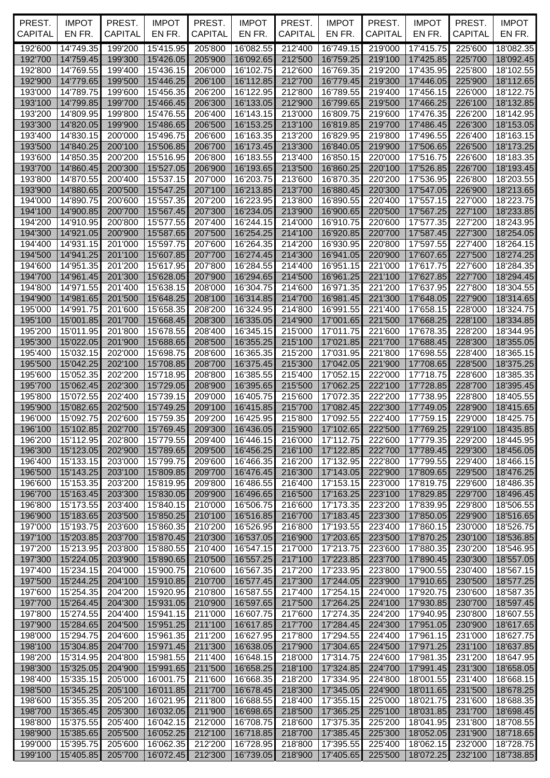| PREST.<br><b>CAPITAL</b> | <b>IMPOT</b>              | PREST.             | <b>IMPOT</b>           | PREST.             | <b>IMPOT</b>           | PREST.             | <b>IMPOT</b>                | PREST.             | <b>IMPOT</b>              | PREST.             | <b>IMPOT</b>           |
|--------------------------|---------------------------|--------------------|------------------------|--------------------|------------------------|--------------------|-----------------------------|--------------------|---------------------------|--------------------|------------------------|
|                          | EN FR.                    | <b>CAPITAL</b>     | EN FR.                 | CAPITAL            | EN FR.                 | <b>CAPITAL</b>     | EN FR.                      | <b>CAPITAL</b>     | EN FR.                    | <b>CAPITAL</b>     | EN FR.                 |
| 192'600                  | 14'749.35                 | 199'200            | 15'415.95              | 205'800            | 16'082.55              | 212'400            | 16'749.15                   | 219'000            | 17'415.75                 | 225'600            | 18'082.35              |
| 192'700<br>192'800       | 14'759.45<br>14'769.55    | 199'300<br>199'400 | 15'426.05<br>15'436.15 | 205'900<br>206'000 | 16'092.65<br>16'102.75 | 212'500<br>212'600 | 16'759.25<br>16'769.35      | 219'100<br>219'200 | 17'425.85<br>17'435.95    | 225'700<br>225'800 | 18'092.45<br>18'102.55 |
| 192'900                  | 14'779.65                 | 199'500            | 15'446.25              | 206'100            | 16'112.85              | 212'700            | 16'779.45                   | 219'300            | 17'446.05                 | 225'900            | 18'112.65              |
| 193'000                  | 14'789.75                 | 199'600            | 15'456.35              | 206'200            | 16'122.95              | 212'800            | 16'789.55                   | 219'400            | 17'456.15                 | 226'000            | 18'122.75              |
| 193'100                  | 14'799.85                 | 199'700            | 15'466.45              | 206'300            | 16'133.05              | 212'900            | 16'799.65                   | 219'500            | 17'466.25                 | 226'100            | 18'132.85              |
| 193'200                  | 14'809.95                 | 199'800            | 15'476.55              | 206'400            | 16'143.15              | 213'000            | 16'809.75                   | 219'600            | 17'476.35                 | 226'200            | 18'142.95              |
| 193'300                  | 14'820.05                 | 199'900            | 15'486.65              | 206'500            | 16'153.25              | 213'100            | 16'819.85                   | 219'700            | 17'486.45                 | 226'300            | 18'153.05              |
| 193'400                  | 14'830.15                 | 200'000            | 15'496.75              | 206'600            | 16'163.35              | 213'200            | 16'829.95                   | 219'800            | 17'496.55                 | 226'400            | 18'163.15              |
| 193'500                  | 14'840.25                 | 200'100            | 15'506.85              | 206'700            | 16'173.45              | 213'300            | 16'840.05                   | 219'900            | 17'506.65                 | 226'500            | 18'173.25              |
| 193'600                  | 14'850.35                 | 200'200            | 15'516.95              | 206'800            | 16'183.55              | 213'400            | 16'850.15                   | 220'000            | 17'516.75                 | 226'600            | 18'183.35              |
| 193'700                  | 14'860.45                 | 200'300            | 15'527.05              | 206'900            | 16'193.65              | 213'500            | 16'860.25                   | 220'100            | 17'526.85                 | 226'700            | 18'193.45              |
| 193'800<br>193'900       | 14'870.55<br>14'880.65    | 200'400<br>200'500 | 15'537.15<br>15'547.25 | 207'000<br>207'100 | 16'203.75<br>16'213.85 | 213'600<br>213'700 | 16'870.35<br>16'880.45      | 220'200<br>220'300 | 17'536.95<br>17'547.05    | 226'800<br>226'900 | 18'203.55<br>18'213.65 |
| 194'000                  | 14'890.75                 | 200'600            | 15'557.35              | 207'200            | 16'223.95              | 213'800            | 16'890.55                   | 220'400            | 17'557.15                 | 227'000            | 18'223.75              |
| 194'100                  | 14'900.85                 | 200'700            | 15'567.45              | 207'300            | 16'234.05              | 213'900            | 16'900.65                   | 220'500            | 17'567.25                 | 227'100            | 18'233.85              |
| 194'200                  | 14'910.95                 | 200'800            | 15'577.55              | 207'400            | 16'244.15              | 214'000            | 16'910.75                   | 220'600            | 17'577.35                 | 227'200            | 18'243.95              |
| 194'300                  | 14'921.05                 | 200'900            | 15'587.65              | 207'500            | 16'254.25              | 214'100            | 16'920.85                   | 220'700            | 17'587.45                 | 227'300            | 18'254.05              |
| 194'400                  | 14'931.15                 | 201'000            | 15'597.75              | 207'600            | 16'264.35              | 214'200            | 16'930.95                   | 220'800            | 17'597.55                 | 227'400            | 18'264.15              |
| 194'500                  | 14'941.25                 | 201'100            | 15'607.85              | 207'700            | 16'274.45              | 214'300            | 16'941.05                   | 220'900            | 17'607.65                 | 227'500            | 18'274.25              |
| 194'600                  | 14'951.35                 | 201'200            | 15'617.95              | 207'800            | 16'284.55              | 214'400            | 16'951.15                   | 221'000            | 17'617.75                 | 227'600            | 18'284.35              |
| 194'700                  | 14'961.45                 | 201'300            | 15'628.05              | 207'900            | 16'294.65              | 214'500            | 16'961.25                   | 221'100            | 17'627.85                 | 227'700            | 18'294.45              |
| 194'800<br>194'900       | 14'971.55<br>14'981.65    | 201'400<br>201'500 | 15'638.15<br>15'648.25 | 208'000<br>208'100 | 16'304.75<br>16'314.85 | 214'600<br>214'700 | 16'971.35<br>16'981.45      | 221'200<br>221'300 | 17'637.95<br>17'648.05    | 227'800<br>227'900 | 18'304.55<br>18'314.65 |
| 195'000                  | 14'991.75                 | 201'600            | 15'658.35              | 208'200            | 16'324.95              | 214'800            | 16'991.55                   | 221'400            | 17'658.15                 | 228'000            | 18'324.75              |
| 195'100                  | 15'001.85                 | 201'700            | 15'668.45              | 208'300            | 16'335.05              | 214'900            | 17'001.65                   | 221'500            | 17'668.25                 | 228'100            | 18'334.85              |
| 195'200                  | 15'011.95                 | 201'800            | 15'678.55              | 208'400            | 16'345.15              | 215'000            | 17'011.75                   | 221'600            | 17'678.35                 | 228'200            | 18'344.95              |
| 195'300                  | 15'022.05                 | 201'900            | 15'688.65              | 208'500            | 16'355.25              | 215'100            | 17'021.85                   | 221'700            | 17'688.45                 | 228'300            | 18'355.05              |
| 195'400                  | 15'032.15                 | 202'000            | 15'698.75              | 208'600            | 16'365.35              | 215'200            | 17'031.95                   | 221'800            | 17'698.55                 | 228'400            | 18'365.15              |
| 195'500                  | 15'042.25                 | 202'100            | 15'708.85              | 208'700            | 16'375.45              | 215'300            | 17'042.05                   | 221'900            | 17'708.65                 | 228'500            | 18'375.25              |
| 195'600                  | 15'052.35                 | 202'200            | 15'718.95              | 208'800            | 16'385.55              | 215'400            | 17'052.15                   | 222'000            | 17'718.75                 | 228'600            | 18'385.35              |
| 195'700                  | 15'062.45                 | 202'300            | 15'729.05              | 208'900            | 16'395.65              | 215'500            | 17'062.25                   | 222'100            | 17'728.85                 | 228'700            | 18'395.45              |
| 195'800                  | 15'072.55<br>15'082.65    | 202'400            | 15'739.15<br>15'749.25 | 209'000            | 16'405.75              | 215'600            | 17'072.35<br>17'082.45      | 222'200            | 17'738.95                 | 228'800            | 18'405.55              |
| 195'900<br>196'000       | 15'092.75                 | 202'500<br>202'600 | 15'759.35              | 209'100<br>209'200 | 16'415.85<br>16'425.95 | 215'700<br>215'800 | 17'092.55                   | 222'300<br>222'400 | 17'749.05<br>17'759.15    | 228'900<br>229'000 | 18'415.65<br>18'425.75 |
|                          | 196'100 15'102.85 202'700 |                    | 15'769.45              | 209'300            |                        |                    | 16'436.05 215'900 17'102.65 |                    | 222'500 17'769.25 229'100 |                    | 18'435.85              |
| 196'200                  | 15'112.95                 | 202'800            | 15'779.55              | 209'400            | 16'446.15              | 216'000            | 17'112.75                   | 222'600            | 17'779.35                 | 229'200            | 18'445.95              |
| 196'300                  | 15'123.05                 | 202'900            | 15'789.65              | 209'500            | 16'456.25              | 216'100            | 17'122.85                   | 222'700            | 17'789.45                 | 229'300            | 18'456.05              |
| 196'400                  | 15'133.15                 | 203'000            | 15'799.75              | 209'600            | 16'466.35              | 216'200            | 17'132.95                   | 222'800            | 17'799.55                 | 229'400            | 18'466.15              |
| 196'500                  | 15'143.25                 | 203'100            | 15'809.85              | 209'700            | 16'476.45              | 216'300            | 17'143.05                   | 222'900            | 17'809.65                 | 229'500            | 18'476.25              |
| 196'600                  | 15'153.35                 | 203'200            | 15'819.95              | 209'800            | 16'486.55              | 216'400            | 17'153.15                   | 223'000            | 17'819.75                 | 229'600            | 18'486.35              |
| 196'700                  | 15'163.45                 | 203'300            | 15'830.05              | 209'900            | 16'496.65              | 216'500            | 17'163.25                   | 223'100            | 17'829.85                 | 229'700            | 18'496.45              |
| 196'800<br>196'900       | 15'173.55<br>15'183.65    | 203'400<br>203'500 | 15'840.15<br>15'850.25 | 210'000<br>210'100 | 16'506.75<br>16'516.85 | 216'600<br>216'700 | 17'173.35<br>17'183.45      | 223'200<br>223'300 | 17'839.95<br>17'850.05    | 229'800<br>229'900 | 18'506.55<br>18'516.65 |
| 197'000                  | 15'193.75                 | 203'600            | 15'860.35              | 210'200            | 16'526.95              | 216'800            | 17'193.55                   | 223'400            | 17'860.15                 | 230'000            | 18'526.75              |
| 197'100                  | 15'203.85                 | 203'700            | 15'870.45              | 210'300            | 16'537.05              | 216'900            | 17'203.65                   | 223'500            | 17'870.25                 | 230'100            | 18'536.85              |
| 197'200                  | 15'213.95                 | 203'800            | 15'880.55              | 210'400            | 16'547.15              | 217'000            | 17'213.75                   | 223'600            | 17'880.35                 | 230'200            | 18'546.95              |
| 197'300                  | 15'224.05                 | 203'900            | 15'890.65              | 210'500            | 16'557.25              | 217'100            | 17'223.85                   | 223'700            | 17'890.45                 | 230'300            | 18'557.05              |
| 197'400                  | 15'234.15                 | 204'000            | 15'900.75              | 210'600            | 16'567.35              | 217'200            | 17'233.95                   | 223'800            | 17'900.55                 | 230'400            | 18'567.15              |
| 197'500                  | 15'244.25                 | 204'100            | 15'910.85              | 210'700            | 16'577.45              | 217'300            | 17'244.05                   | 223'900            | 17'910.65                 | 230'500            | 18'577.25              |
| 197'600                  | 15'254.35                 | 204'200            | 15'920.95              | 210'800            | 16'587.55              | 217'400            | 17'254.15                   | 224'000            | 17'920.75                 | 230'600            | 18'587.35              |
| 197'700<br>197'800       | 15'264.45<br>15'274.55    | 204'300<br>204'400 | 15'931.05<br>15'941.15 | 210'900<br>211'000 | 16'597.65<br>16'607.75 | 217'500<br>217'600 | 17'264.25<br>17'274.35      | 224'100<br>224'200 | 17'930.85<br>17'940.95    | 230'700<br>230'800 | 18'597.45<br>18'607.55 |
| 197'900                  | 15'284.65                 | 204'500            | 15'951.25              | 211'100            | 16'617.85              | 217'700            | 17'284.45                   | 224'300            | 17'951.05                 | 230'900            | 18'617.65              |
| 198'000                  | 15'294.75                 | 204'600            | 15'961.35              | 211'200            | 16'627.95              | 217'800            | 17'294.55                   | 224'400            | 17'961.15                 | 231'000            | 18'627.75              |
| 198'100                  | 15'304.85                 | 204'700            | 15'971.45              | 211'300            | 16'638.05              | 217'900            | 17'304.65                   | 224'500            | 17'971.25                 | 231'100            | 18'637.85              |
| 198'200                  | 15'314.95                 | 204'800            | 15'981.55              | 211'400            | 16'648.15              | 218'000            | 17'314.75                   | 224'600            | 17'981.35                 | 231'200            | 18'647.95              |
| 198'300                  | 15'325.05                 | 204'900            | 15'991.65              | 211'500            | 16'658.25              | 218'100            | 17'324.85                   | 224'700            | 17'991.45                 | 231'300            | 18'658.05              |
| 198'400                  | 15'335.15                 | 205'000            | 16'001.75              | 211'600            | 16'668.35              | 218'200            | 17'334.95                   | 224'800            | 18'001.55                 | 231'400            | 18'668.15              |
| 198'500                  | 15'345.25                 | 205'100            | 16'011.85              | 211'700            | 16'678.45              | 218'300            | 17'345.05                   | 224'900            | 18'011.65                 | 231'500            | 18'678.25              |
| 198'600                  | 15'355.35                 | 205'200            | 16'021.95              | 211'800            | 16'688.55              | 218'400            | 17'355.15                   | 225'000            | 18'021.75                 | 231'600            | 18'688.35              |
| 198'700<br>198'800       | 15'365.45<br>15'375.55    | 205'300<br>205'400 | 16'032.05<br>16'042.15 | 211'900<br>212'000 | 16'698.65<br>16'708.75 | 218'500<br>218'600 | 17'365.25<br>17'375.35      | 225'100<br>225'200 | 18'031.85<br>18'041.95    | 231'700<br>231'800 | 18'698.45<br>18'708.55 |
| 198'900                  | 15'385.65                 | 205'500            | 16'052.25              | 212'100            | 16'718.85              | 218'700            | 17'385.45                   | 225'300            | 18'052.05                 | 231'900            | 18'718.65              |
| 199'000                  | 15'395.75                 | 205'600            | 16'062.35              | 212'200            | 16'728.95              | 218'800            | 17'395.55                   | 225'400            | 18'062.15                 | 232'000            | 18'728.75              |
| 199'100                  | 15'405.85                 | 205'700            | 16'072.45              | 212'300            | 16'739.05              | 218'900            | 17'405.65                   | 225'500            | 18'072.25                 | 232'100            | 18'738.85              |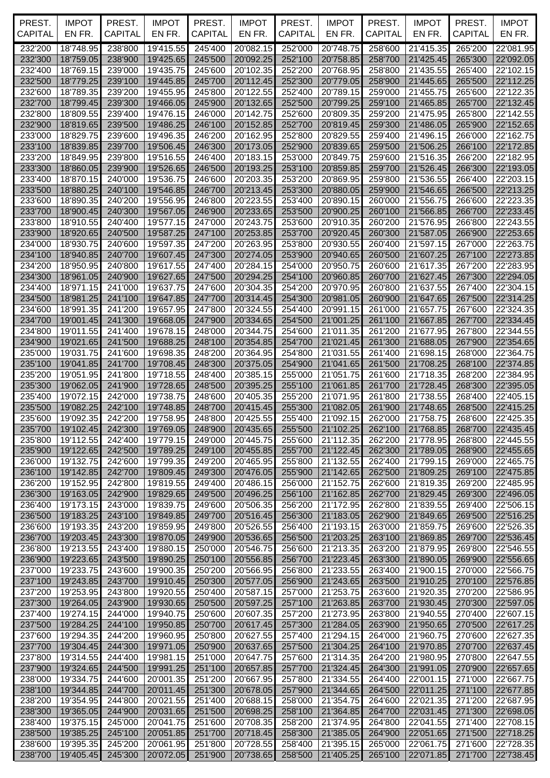| PREST.<br><b>CAPITAL</b> | <b>IMPOT</b><br>EN FR.         | PREST.<br>CAPITAL  | <b>IMPOT</b><br>EN FR.         | PREST.<br><b>CAPITAL</b> | <b>IMPOT</b><br>EN FR.         | PREST.<br>CAPITAL  | <b>IMPOT</b><br>EN FR.  | PREST.<br><b>CAPITAL</b> | <b>IMPOT</b><br>EN FR.         | PREST.<br><b>CAPITAL</b> | <b>IMPOT</b><br>EN FR. |
|--------------------------|--------------------------------|--------------------|--------------------------------|--------------------------|--------------------------------|--------------------|-------------------------|--------------------------|--------------------------------|--------------------------|------------------------|
| 232'200                  | 18'748.95                      | 238'800            | 19'415.55                      | 245'400                  | 20'082.15                      | 252'000            | 20'748.75               | 258'600                  | 21'415.35                      | 265'200                  | 22'081.95              |
| 232'300                  | 18'759.05                      | 238'900            | 19'425.65                      | 245'500                  | 20'092.25                      | 252'100            | 20'758.85               | 258'700                  | 21'425.45                      | 265'300                  | 22'092.05              |
| 232'400                  | 18'769.15                      | 239'000            | 19'435.75                      | 245'600                  | 20'102.35                      | 252'200            | 20'768.95               | 258'800                  | 21'435.55                      | 265'400                  | 22'102.15              |
| 232'500                  | 18'779.25                      | 239'100            | 19'445.85                      | 245'700                  | 20'112.45                      | 252'300            | 20'779.05               | 258'900                  | 21'445.65                      | 265'500                  | 22'112.25              |
| 232'600                  | 18'789.35                      | 239'200            | 19'455.95                      | 245'800                  | 20'122.55                      | 252'400            | 20'789.15               | 259'000                  | 21'455.75                      | 265'600                  | 22'122.35              |
| 232'700<br>232'800       | 18'799.45<br>18'809.55         | 239'300<br>239'400 | 19'466.05<br>19'476.15         | 245'900<br>246'000       | 20'132.65<br>20'142.75         | 252'500<br>252'600 | 20'799.25<br>20'809.35  | 259'100<br>259'200       | 21'465.85<br>21'475.95         | 265'700<br>265'800       | 22'132.45<br>22'142.55 |
| 232'900                  | 18'819.65                      | 239'500            | 19'486.25                      | 246'100                  | 20'152.85                      | 252'700            | 20'819.45               | 259'300                  | 21'486.05                      | 265'900                  | 22'152.65              |
| 233'000                  | 18'829.75                      | 239'600            | 19'496.35                      | 246'200                  | 20'162.95                      | 252'800            | 20'829.55               | 259'400                  | 21'496.15                      | 266'000                  | 22'162.75              |
| 233'100                  | 18'839.85                      | 239'700            | 19'506.45                      | 246'300                  | 20'173.05                      | 252'900            | 20'839.65               | 259'500                  | 21'506.25                      | 266'100                  | 22'172.85              |
| 233'200                  | 18'849.95                      | 239'800            | 19'516.55                      | 246'400                  | 20'183.15                      | 253'000            | 20'849.75               | 259'600                  | 21'516.35                      | 266'200                  | 22'182.95              |
| 233'300                  | 18'860.05                      | 239'900            | 19'526.65                      | 246'500                  | 20'193.25                      | 253'100            | 20'859.85               | 259'700                  | 21'526.45                      | 266'300                  | 22'193.05              |
| 233'400                  | 18'870.15                      | 240'000            | 19'536.75                      | 246'600                  | 20'203.35                      | 253'200            | 20'869.95               | 259'800                  | 21'536.55                      | 266'400                  | 22'203.15              |
| 233'500                  | 18'880.25                      | 240'100            | 19'546.85                      | 246'700                  | 20'213.45                      | 253'300            | 20'880.05               | 259'900                  | 21'546.65                      | 266'500                  | 22'213.25              |
| 233'600                  | 18'890.35                      | 240'200            | 19'556.95                      | 246'800                  | 20'223.55                      | 253'400            | 20'890.15               | 260'000                  | 21'556.75                      | 266'600                  | 22'223.35              |
| 233'700<br>233'800       | 18'900.45<br>18'910.55         | 240'300<br>240'400 | 19'567.05<br>19'577.15         | 246'900<br>247'000       | 20'233.65<br>20'243.75         | 253'500<br>253'600 | 20'900.25<br>20'910.35  | 260'100<br>260'200       | 21'566.85<br>21'576.95         | 266'700<br>266'800       | 22'233.45<br>22'243.55 |
| 233'900                  | 18'920.65                      | 240'500            | 19'587.25                      | 247'100                  | 20'253.85                      | 253'700            | 20'920.45               | 260'300                  | 21'587.05                      | 266'900                  | 22'253.65              |
| 234'000                  | 18'930.75                      | 240'600            | 19'597.35                      | 247'200                  | 20'263.95                      | 253'800            | 20'930.55               | 260'400                  | 21'597.15                      | 267'000                  | 22'263.75              |
| 234'100                  | 18'940.85                      | 240'700            | 19'607.45                      | 247'300                  | 20'274.05                      | 253'900            | 20'940.65               | 260'500                  | 21'607.25                      | 267'100                  | 22'273.85              |
| 234'200                  | 18'950.95                      | 240'800            | 19'617.55                      | 247'400                  | 20'284.15                      | 254'000            | 20'950.75               | 260'600                  | 21'617.35                      | 267'200                  | 22'283.95              |
| 234'300                  | 18'961.05                      | 240'900            | 19'627.65                      | 247'500                  | 20'294.25                      | 254'100            | 20'960.85               | 260'700                  | 21'627.45                      | 267'300                  | 22'294.05              |
| 234'400                  | 18'971.15                      | 241'000            | 19'637.75                      | 247'600                  | 20'304.35                      | 254'200            | 20'970.95               | 260'800                  | 21'637.55                      | 267'400                  | 22'304.15              |
| 234'500                  | 18'981.25                      | 241'100            | 19'647.85                      | 247'700                  | 20'314.45                      | 254'300            | 20'981.05               | 260'900                  | 21'647.65                      | 267'500                  | 22'314.25              |
| 234'600                  | 18'991.35                      | 241'200            | 19'657.95                      | 247'800                  | 20'324.55                      | 254'400            | 20'991.15               | 261'000                  | 21'657.75                      | 267'600                  | 22'324.35              |
| 234'700<br>234'800       | 19'001.45<br>19'011.55         | 241'300<br>241'400 | 19'668.05<br>19'678.15         | 247'900<br>248'000       | 20'334.65<br>20'344.75         | 254'500<br>254'600 | 21'001.25<br>21'011.35  | 261'100<br>261'200       | 21'667.85<br>21'677.95         | 267'700<br>267'800       | 22'334.45<br>22'344.55 |
| 234'900                  | 19'021.65                      | 241'500            | 19'688.25                      | 248'100                  | 20'354.85                      | 254'700            | 21'021.45               | 261'300                  | 21'688.05                      | 267'900                  | 22'354.65              |
| 235'000                  | 19'031.75                      | 241'600            | 19'698.35                      | 248'200                  | 20'364.95                      | 254'800            | 21'031.55               | 261'400                  | 21'698.15                      | 268'000                  | 22'364.75              |
| 235'100                  | 19'041.85                      | 241'700            | 19'708.45                      | 248'300                  | 20'375.05                      | 254'900            | 21'041.65               | 261'500                  | 21'708.25                      | 268'100                  | 22'374.85              |
| 235'200                  | 19'051.95                      | 241'800            | 19'718.55                      | 248'400                  | 20'385.15                      | 255'000            | 21'051.75               | 261'600                  | 21'718.35                      | 268'200                  | 22'384.95              |
| 235'300                  | 19'062.05                      | 241'900            | 19'728.65                      | 248'500                  | 20'395.25                      | 255'100            | 21'061.85               | 261'700                  | 21'728.45                      | 268'300                  | 22'395.05              |
| 235'400                  | 19'072.15                      | 242'000            | 19'738.75                      | 248'600                  | 20'405.35                      | 255'200            | 21'071.95               | 261'800                  | 21'738.55                      | 268'400                  | 22'405.15              |
| 235'500                  | 19'082.25                      | 242'100            | 19'748.85                      | 248'700                  | 20'415.45                      | 255'300            | 21'082.05               | 261'900                  | 21'748.65                      | 268'500                  | 22'415.25              |
| 235'600                  | 19'092.35<br>235'700 19'102.45 | 242'200            | 19'758.95                      | 248'800<br>248'900       | 20'425.55                      | 255'400            | 21'092.15<br> 21'102.25 | 262'000                  | 21'758.75<br>262'100 21'768.85 | 268'600                  | 22'425.35<br>22'435.45 |
| 235'800                  | 19'112.55                      | 242'400            | 242'300 19'769.05<br>19'779.15 | 249'000                  | 20'435.65 255'500<br>20'445.75 | 255'600            | 21'112.35               | 262'200                  | 21'778.95                      | 268'700<br>268'800       | 22'445.55              |
| 235'900                  | 19'122.65                      | 242'500            | 19'789.25                      | 249'100                  | 20'455.85                      | 255'700            | 21'122.45               | 262'300                  | 21'789.05                      | 268'900                  | 22'455.65              |
| 236'000                  | 19'132.75                      | 242'600            | 19'799.35                      | 249'200                  | 20'465.95                      | 255'800            | 21'132.55               | 262'400                  | 21'799.15                      | 269'000                  | 22'465.75              |
| 236'100                  | 19'142.85                      | 242'700            | 19'809.45                      | 249'300                  | 20'476.05                      | 255'900            | 21'142.65               | 262'500                  | 21'809.25                      | 269'100                  | 22'475.85              |
| 236'200                  | 19'152.95                      | 242'800            | 19'819.55                      | 249'400                  | 20'486.15                      | 256'000            | 21'152.75               | 262'600                  | 21'819.35                      | 269'200                  | 22'485.95              |
| 236'300                  | 19'163.05                      | 242'900            | 19'829.65                      | 249'500                  | 20'496.25                      | 256'100            | 21'162.85               | 262'700                  | 21'829.45                      | 269'300                  | 22'496.05              |
| 236'400                  | 19'173.15                      | 243'000            | 19'839.75                      | 249'600                  | 20'506.35                      | 256'200            | 21'172.95               | 262'800                  | 21'839.55                      | 269'400                  | 22'506.15              |
| 236'500                  | 19'183.25                      | 243'100            | 19'849.85                      | 249'700                  | 20'516.45                      | 256'300            | 21'183.05               | 262'900                  | 21'849.65                      | 269'500                  | 22'516.25              |
| 236'600<br>236'700       | 19'193.35<br>19'203.45         | 243'200<br>243'300 | 19'859.95<br>19'870.05         | 249'800<br>249'900       | 20'526.55<br>20'536.65         | 256'400<br>256'500 | 21'193.15<br>21'203.25  | 263'000<br>263'100       | 21'859.75<br>21'869.85         | 269'600<br>269'700       | 22'526.35<br>22'536.45 |
| 236'800                  | 19'213.55                      | 243'400            | 19'880.15                      | 250'000                  | 20'546.75                      | 256'600            | 21'213.35               | 263'200                  | 21'879.95                      | 269'800                  | 22'546.55              |
| 236'900                  | 19'223.65                      | 243'500            | 19'890.25                      | 250'100                  | 20'556.85                      | 256'700            | 21'223.45               | 263'300                  | 21'890.05                      | 269'900                  | 22'556.65              |
| 237'000                  | 19'233.75                      | 243'600            | 19'900.35                      | 250'200                  | 20'566.95                      | 256'800            | 21'233.55               | 263'400                  | 21'900.15                      | 270'000                  | 22'566.75              |
| 237'100                  | 19'243.85                      | 243'700            | 19'910.45                      | 250'300                  | 20'577.05                      | 256'900            | 21'243.65               | 263'500                  | 21'910.25                      | 270'100                  | 22'576.85              |
| 237'200                  | 19'253.95                      | 243'800            | 19'920.55                      | 250'400                  | 20'587.15                      | 257'000            | 21'253.75               | 263'600                  | 21'920.35                      | 270'200                  | 22'586.95              |
| 237'300                  | 19'264.05                      | 243'900            | 19'930.65                      | 250'500                  | 20'597.25                      | 257'100            | 21'263.85               | 263'700                  | 21'930.45                      | 270'300                  | 22'597.05              |
| 237'400                  | 19'274.15<br>19'284.25         | 244'000<br>244'100 | 19'940.75                      | 250'600<br>250'700       | 20'607.35                      | 257'200            | 21'273.95<br>21'284.05  | 263'800<br>263'900       | 21'940.55                      | 270'400<br>270'500       | 22'607.15              |
| 237'500<br>237'600       | 19'294.35                      | 244'200            | 19'950.85<br>19'960.95         | 250'800                  | 20'617.45<br>20'627.55         | 257'300<br>257'400 | 21'294.15               | 264'000                  | 21'950.65<br>21'960.75         | 270'600                  | 22'617.25<br>22'627.35 |
| 237'700                  | 19'304.45                      | 244'300            | 19'971.05                      | 250'900                  | 20'637.65                      | 257'500            | 21'304.25               | 264'100                  | 21'970.85                      | 270'700                  | 22'637.45              |
| 237'800                  | 19'314.55                      | 244'400            | 19'981.15                      | 251'000                  | 20'647.75                      | 257'600            | 21'314.35               | 264'200                  | 21'980.95                      | 270'800                  | 22'647.55              |
| 237'900                  | 19'324.65                      | 244'500            | 19'991.25                      | 251'100                  | 20'657.85                      | 257'700            | 21'324.45               | 264'300                  | 21'991.05                      | 270'900                  | 22'657.65              |
| 238'000                  | 19'334.75                      | 244'600            | 20'001.35                      | 251'200                  | 20'667.95                      | 257'800            | 21'334.55               | 264'400                  | 22'001.15                      | 271'000                  | 22'667.75              |
| 238'100                  | 19'344.85                      | 244'700            | 20'011.45                      | 251'300                  | 20'678.05                      | 257'900            | 21'344.65               | 264'500                  | 22'011.25                      | 271'100                  | 22'677.85              |
| 238'200                  | 19'354.95                      | 244'800            | 20'021.55                      | 251'400                  | 20'688.15                      | 258'000            | 21'354.75               | 264'600                  | 22'021.35                      | 271'200                  | 22'687.95              |
| 238'300                  | 19'365.05                      | 244'900            | 20'031.65                      | 251'500                  | 20'698.25                      | 258'100            | 21'364.85               | 264'700                  | 22'031.45                      | 271'300                  | 22'698.05              |
| 238'400                  | 19'375.15                      | 245'000            | 20'041.75                      | 251'600                  | 20'708.35                      | 258'200            | 21'374.95               | 264'800                  | 22'041.55<br>22'051.65         | 271'400<br>271'500       | 22'708.15<br>22'718.25 |
| 238'500<br>238'600       | 19'385.25<br>19'395.35         | 245'100<br>245'200 | 20'051.85<br>20'061.95         | 251'700<br>251'800       | 20'718.45<br>20'728.55         | 258'300<br>258'400 | 21'385.05<br>21'395.15  | 264'900<br>265'000       | 22'061.75                      | 271'600                  | 22'728.35              |
| 238'700                  | 19'405.45                      | 245'300            | 20'072.05                      | 251'900                  | 20'738.65                      | 258'500            | 21'405.25               | 265'100                  | 22'071.85                      | 271'700                  | 22'738.45              |